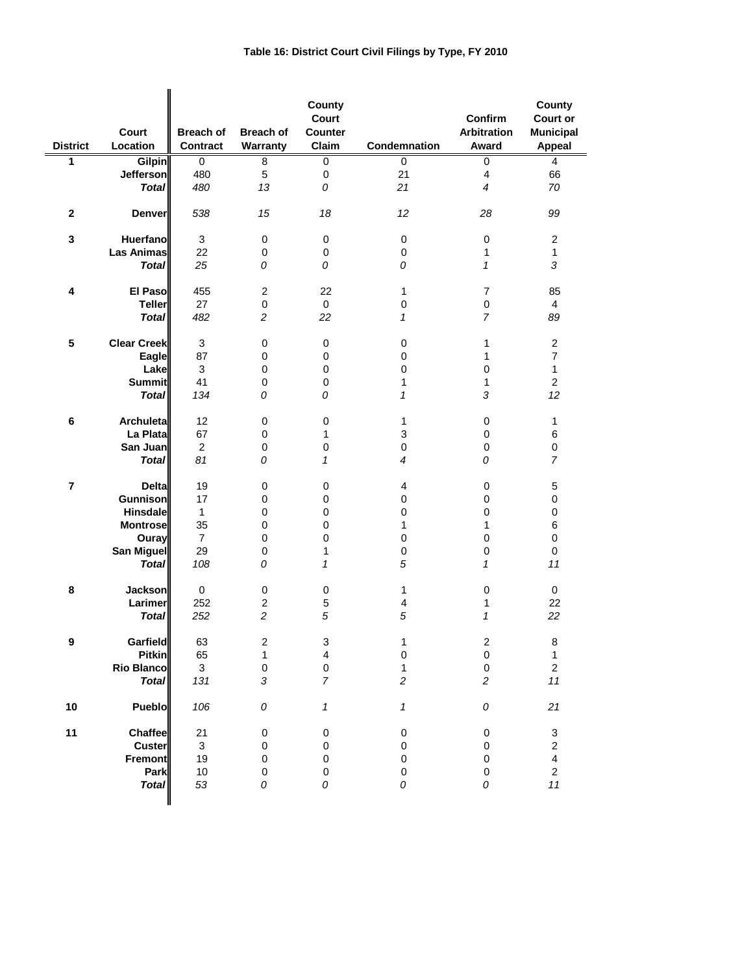| <b>District</b>         | Court<br>Location  | <b>Breach of</b><br><b>Contract</b> | <b>Breach of</b><br>Warranty | County<br>Court<br><b>Counter</b><br>Claim | Condemnation    | Confirm<br><b>Arbitration</b><br>Award | County<br><b>Court or</b><br><b>Municipal</b><br><b>Appeal</b> |
|-------------------------|--------------------|-------------------------------------|------------------------------|--------------------------------------------|-----------------|----------------------------------------|----------------------------------------------------------------|
| 1                       | <b>Gilpin</b>      | 0                                   | 8                            | 0                                          | 0               | 0                                      | $\overline{4}$                                                 |
|                         | Jefferson          | 480                                 | 5                            | 0                                          | 21              | $\overline{4}$                         | 66                                                             |
|                         | <b>Total</b>       | 480                                 | 13                           | 0                                          | 21              | $\overline{4}$                         | 70                                                             |
|                         |                    |                                     |                              |                                            |                 |                                        |                                                                |
| $\mathbf 2$             | Denver             | 538                                 | 15                           | 18                                         | 12 <sup>2</sup> | 28                                     | 99                                                             |
| 3                       | <b>Huerfano</b>    | 3                                   | 0                            | 0                                          | $\pmb{0}$       | $\pmb{0}$                              | $\overline{c}$                                                 |
|                         | <b>Las Animas</b>  | 22                                  | 0                            | 0                                          | 0               | $\mathbf{1}$                           | 1                                                              |
|                         | <b>Total</b>       | 25                                  | 0                            | 0                                          | 0               | $\mathbf{1}$                           | 3                                                              |
|                         |                    |                                     |                              |                                            |                 |                                        |                                                                |
|                         | El Paso            | 455                                 | $\overline{c}$               | 22                                         | 1               | $\overline{7}$                         | 85                                                             |
| 4                       |                    |                                     |                              |                                            |                 |                                        |                                                                |
|                         | <b>Teller</b>      | 27                                  | $\pmb{0}$                    | 0                                          | 0               | 0                                      | 4                                                              |
|                         | <b>Total</b>       | 482                                 | $\overline{c}$               | 22                                         | 1               | $\overline{7}$                         | 89                                                             |
|                         |                    |                                     |                              |                                            |                 |                                        |                                                                |
| 5                       | <b>Clear Creek</b> | 3                                   | $\pmb{0}$                    | 0                                          | $\mathbf 0$     | 1                                      | $\boldsymbol{2}$                                               |
|                         | Eagle              | 87                                  | 0                            | 0                                          | 0               | $\mathbf{1}$                           | $\overline{7}$                                                 |
|                         | Lake               | 3                                   | 0                            | 0                                          | 0               | 0                                      | 1                                                              |
|                         | <b>Summit</b>      | 41                                  | 0                            | $\mathbf 0$                                | 1               | 1                                      | $\overline{2}$                                                 |
|                         | <b>Total</b>       | 134                                 | 0                            | 0                                          | 1               | 3                                      | 12                                                             |
|                         |                    |                                     |                              |                                            |                 |                                        |                                                                |
| 6                       | Archuleta          | 12                                  | $\mathbf 0$                  | 0                                          | 1               | 0                                      | 1                                                              |
|                         | La Plata           | 67                                  | 0                            | 1                                          | 3               | 0                                      | 6                                                              |
|                         | San Juan           | $\overline{2}$                      | $\pmb{0}$                    | 0                                          | 0               | 0                                      | $\pmb{0}$                                                      |
|                         | <b>Total</b>       | 81                                  | 0                            | $\mathbf{1}$                               | 4               | 0                                      | $\overline{7}$                                                 |
|                         |                    |                                     |                              |                                            |                 |                                        |                                                                |
| $\overline{\mathbf{r}}$ | <b>Delta</b>       | 19                                  | 0                            | 0                                          | 4               | 0                                      | $\mathbf 5$                                                    |
|                         | <b>Gunnison</b>    | 17                                  | 0                            | 0                                          | 0               | 0                                      | $\pmb{0}$                                                      |
|                         | <b>Hinsdale</b>    | $\mathbf 1$                         | 0                            | 0                                          | 0               | 0                                      | $\pmb{0}$                                                      |
|                         | <b>Montrose</b>    | 35                                  | 0                            | $\pmb{0}$                                  | 1               | $\mathbf{1}$                           | 6                                                              |
|                         | Ouray              | $\overline{7}$                      | 0                            | $\pmb{0}$                                  | $\pmb{0}$       | 0                                      | $\pmb{0}$                                                      |
|                         | San Miguel         | 29                                  | 0                            | $\mathbf{1}$                               | 0               | 0                                      | 0                                                              |
|                         | <b>Total</b>       |                                     |                              |                                            | 5               |                                        |                                                                |
|                         |                    | 108                                 | 0                            | 1                                          |                 | $\mathcal I$                           | 11                                                             |
|                         |                    |                                     |                              |                                            |                 |                                        |                                                                |
| 8                       | <b>Jackson</b>     | 0                                   | 0                            | 0                                          | 1               | 0                                      | 0                                                              |
|                         | Larimer            | 252                                 | $\boldsymbol{2}$             | 5                                          | 4               | 1                                      | 22                                                             |
|                         | <b>Total</b>       | 252                                 | $\overline{c}$               | 5                                          | 5               | $\mathbf{1}$                           | 22                                                             |
|                         |                    |                                     |                              |                                            |                 |                                        |                                                                |
| 9                       | <b>Garfield</b>    | 63                                  | $\boldsymbol{2}$             | 3                                          | 1               | $\overline{\mathbf{c}}$                | 8                                                              |
|                         | <b>Pitkin</b>      | 65                                  | $\mathbf{1}$                 | $\overline{\mathbf{4}}$                    | $\pmb{0}$       | $\pmb{0}$                              | $\mathbf{1}$                                                   |
|                         | <b>Rio Blanco</b>  | 3                                   | $\pmb{0}$                    | $\pmb{0}$                                  | 1               | $\pmb{0}$                              | $\boldsymbol{2}$                                               |
|                         | <b>Total</b>       | 131                                 | $\sqrt{3}$                   | $\overline{7}$                             | $\overline{c}$  | $\overline{c}$                         | $11$                                                           |
| 10                      | Pueblo             | 106                                 | 0                            | $\mathbf{1}$                               | 1               | 0                                      | 21                                                             |
|                         |                    |                                     |                              |                                            |                 |                                        |                                                                |
| 11                      | Chaffee            | 21                                  | $\pmb{0}$                    | 0                                          | $\pmb{0}$       | 0                                      | 3                                                              |
|                         | <b>Custer</b>      | 3                                   | 0                            | $\pmb{0}$                                  | 0               | $\mathbf 0$                            | $\overline{\mathbf{c}}$                                        |
|                         | <b>Fremont</b>     | 19                                  | 0                            | 0                                          | 0               | 0                                      | $\overline{\mathbf{4}}$                                        |
|                         | Park               | $10$                                | 0                            | 0                                          | 0               | 0                                      | $\boldsymbol{2}$                                               |
|                         | <b>Total</b>       | 53                                  | 0                            | 0                                          | 0               | 0                                      | $11$                                                           |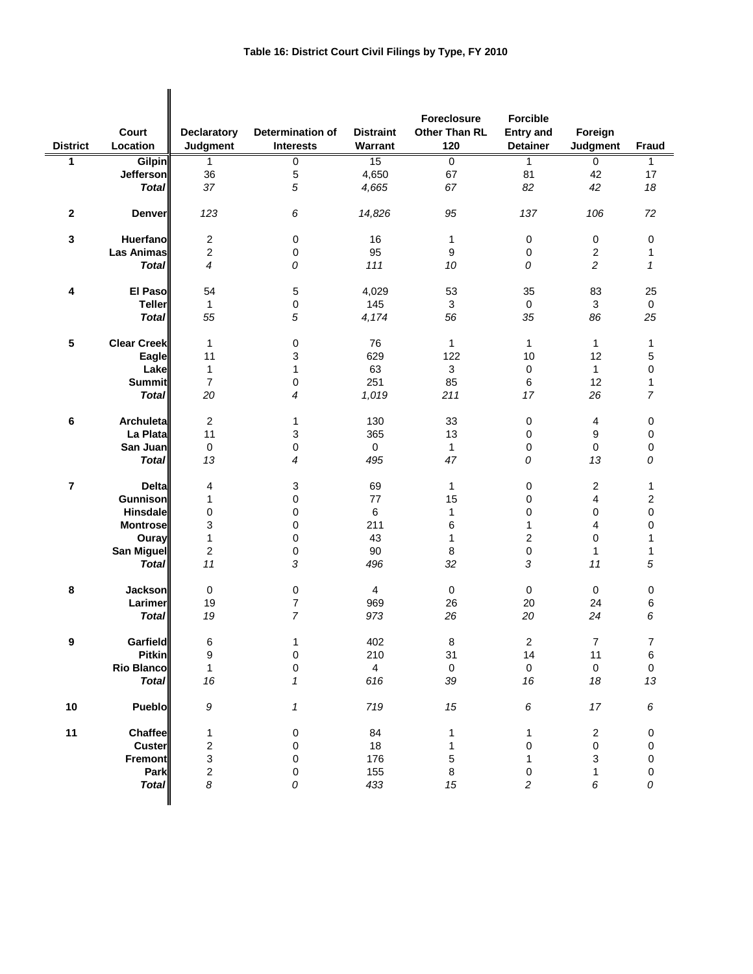|                 |                    |                                |                                      |                             | Foreclosure                 | <b>Forcible</b>                     |                     |              |
|-----------------|--------------------|--------------------------------|--------------------------------------|-----------------------------|-----------------------------|-------------------------------------|---------------------|--------------|
| <b>District</b> | Court<br>Location  | <b>Declaratory</b><br>Judgment | Determination of<br><b>Interests</b> | <b>Distraint</b><br>Warrant | <b>Other Than RL</b><br>120 | <b>Entry and</b><br><b>Detainer</b> | Foreign<br>Judgment | <b>Fraud</b> |
| 1               | <b>Gilpin</b>      | $\mathbf{1}$                   | $\overline{0}$                       | 15                          | $\overline{0}$              | $\overline{1}$                      | 0                   | 1            |
|                 | <b>Jefferson</b>   | 36                             | 5                                    | 4,650                       | 67                          | 81                                  | 42                  | 17           |
|                 | <b>Total</b>       | 37                             | 5                                    | 4,665                       | 67                          | 82                                  | 42                  | 18           |
| $\bf 2$         | <b>Denver</b>      | 123                            | 6                                    | 14,826                      | 95                          | 137                                 | 106                 | 72           |
| $\mathbf 3$     | Huerfano           | $\boldsymbol{2}$               | 0                                    | 16                          | 1                           | 0                                   | 0                   | 0            |
|                 | Las Animas         | $\overline{2}$                 | 0                                    | 95                          | 9                           | 0                                   | $\sqrt{2}$          | 1            |
|                 | <b>Total</b>       | 4                              | 0                                    | 111                         | 10                          | 0                                   | $\overline{c}$      | $\mathcal I$ |
|                 |                    |                                |                                      |                             |                             |                                     |                     |              |
| 4               | El Paso            | 54                             | 5                                    | 4,029                       | 53                          | 35                                  | 83                  | 25           |
|                 | <b>Teller</b>      | $\mathbf{1}$                   | 0                                    | 145                         | 3                           | 0                                   | 3                   | 0            |
|                 | <b>Total</b>       | 55                             | 5                                    | 4,174                       | 56                          | 35                                  | 86                  | 25           |
| 5               | <b>Clear Creek</b> | $\mathbf{1}$                   | 0                                    | 76                          | 1                           | $\mathbf{1}$                        | $\mathbf{1}$        | 1            |
|                 | Eagle              | 11                             | 3                                    | 629                         | 122                         | 10                                  | 12                  | 5            |
|                 | Lake               | $\mathbf{1}$                   | 1                                    | 63                          | 3                           | 0                                   | $\mathbf{1}$        | $\mathbf 0$  |
|                 | <b>Summit</b>      | $\overline{7}$                 | 0                                    | 251                         | 85                          | 6                                   | 12                  | 1            |
|                 | <b>Total</b>       | 20                             | 4                                    | 1,019                       | 211                         | 17                                  | 26                  | 7            |
|                 |                    |                                |                                      |                             |                             |                                     |                     |              |
| 6               | Archuleta          | $\overline{2}$                 | 1                                    | 130                         | 33                          | 0                                   | $\overline{4}$      | 0            |
|                 | La Plata           | 11                             | 3                                    | 365                         | 13                          | 0                                   | 9                   | 0            |
|                 | San Juan           | $\pmb{0}$                      | 0                                    | $\mathbf 0$                 | $\mathbf{1}$                | 0                                   | 0                   | 0            |
|                 | <b>Total</b>       | 13                             | 4                                    | 495                         | 47                          | 0                                   | 13                  | 0            |
| $\overline{7}$  | <b>Delta</b>       | 4                              | 3                                    | 69                          | 1                           | 0                                   | $\sqrt{2}$          | 1            |
|                 | <b>Gunnison</b>    | $\mathbf{1}$                   | 0                                    | 77                          | 15                          | 0                                   | 4                   | 2            |
|                 | <b>Hinsdale</b>    | 0                              | 0                                    | 6                           | 1                           | 0                                   | 0                   | $\mathsf 0$  |
|                 | <b>Montrose</b>    | 3                              | 0                                    | 211                         | 6                           | $\mathbf{1}$                        | 4                   | 0            |
|                 | Ouray              | $\mathbf{1}$                   | 0                                    | 43                          | 1                           | $\overline{c}$                      | 0                   | 1            |
|                 | <b>San Miguel</b>  | $\mathbf{2}$                   | 0                                    | 90                          | 8                           | 0                                   | $\mathbf{1}$        | 1            |
|                 | <b>Total</b>       | 11                             | 3                                    | 496                         | 32                          | 3                                   | 11                  | 5            |
|                 |                    |                                |                                      |                             |                             |                                     |                     |              |
| 8               | <b>Jackson</b>     | $\pmb{0}$                      | 0                                    | $\overline{4}$              | $\pmb{0}$                   | $\boldsymbol{0}$                    | $\mathbf 0$         | 0            |
|                 | Larimer            | 19                             | 7                                    | 969                         | 26                          | 20                                  | 24                  | 6            |
|                 | <b>Total</b>       | 19                             | $\overline{7}$                       | 973                         | 26                          | 20                                  | 24                  | 6            |
|                 | <b>Garfield</b>    |                                |                                      |                             |                             |                                     | $\overline{7}$      |              |
| 9               | <b>Pitkin</b>      | 6<br>9                         | 1<br>0                               | 402<br>210                  | 8<br>31                     | $\overline{\mathbf{c}}$<br>14       | 11                  | 7<br>6       |
|                 | <b>Rio Blanco</b>  | $\mathbf{1}$                   | 0                                    | $\overline{4}$              | $\pmb{0}$                   | $\pmb{0}$                           | $\pmb{0}$           |              |
|                 | <b>Total</b>       | 16                             | 1                                    | 616                         | 39                          | 16                                  | 18                  | 0<br>13      |
|                 |                    |                                |                                      |                             |                             |                                     |                     |              |
| 10              | Pueblo             | 9                              | 1                                    | 719                         | 15                          | $\boldsymbol{6}$                    | $17$                | 6            |
| 11              | <b>Chaffee</b>     | 1                              | 0                                    | 84                          | 1                           | 1                                   | $\sqrt{2}$          | 0            |
|                 | <b>Custer</b>      | 2                              | 0                                    | 18                          | 1                           | 0                                   | 0                   | 0            |
|                 | <b>Fremont</b>     | 3                              | 0                                    | 176                         | 5                           | $\mathbf{1}$                        | 3                   | 0            |
|                 | Park               | 2                              | 0                                    | 155                         | 8                           | 0                                   | 1                   | 0            |
|                 | <b>Total</b>       | 8                              | 0                                    | 433                         | 15                          | $\overline{c}$                      | 6                   | 0            |
|                 |                    |                                |                                      |                             |                             |                                     |                     |              |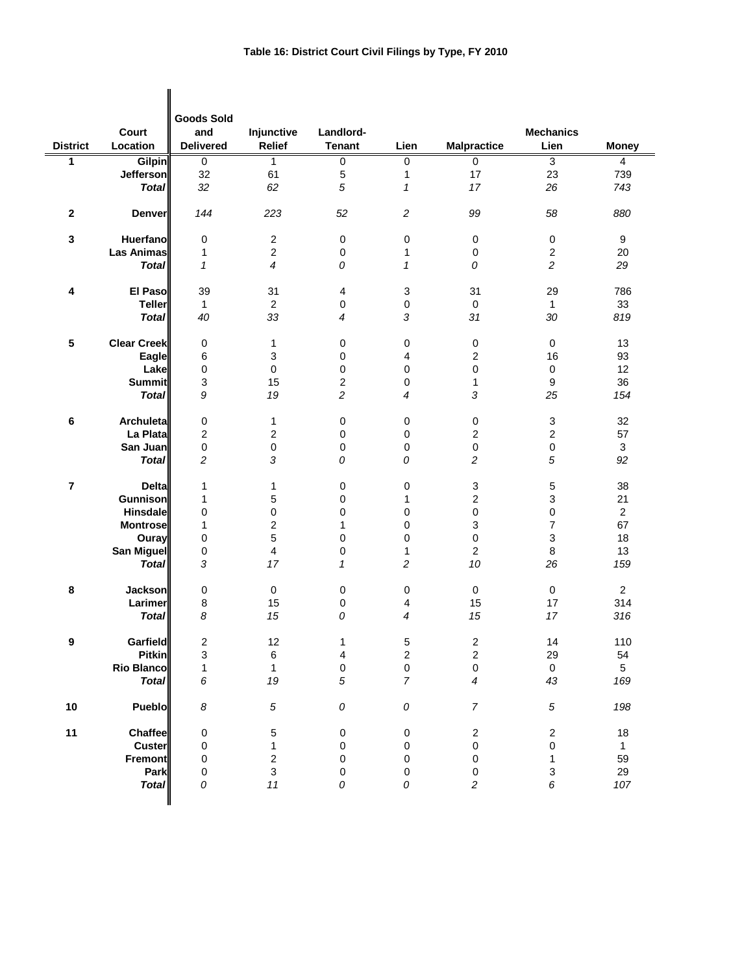| <b>District</b> | Court<br>Location  | <b>Goods Sold</b><br>and<br><b>Delivered</b> | Injunctive<br><b>Relief</b> | Landlord-<br><b>Tenant</b> | Lien                      | <b>Malpractice</b>  | <b>Mechanics</b><br>Lien  | <b>Money</b>     |
|-----------------|--------------------|----------------------------------------------|-----------------------------|----------------------------|---------------------------|---------------------|---------------------------|------------------|
| 1               | <b>Gilpin</b>      | 0                                            | $\mathbf{1}$                | 0                          | 0                         | $\overline{0}$      | 3                         | 4                |
|                 | <b>Jefferson</b>   | 32                                           | 61                          | $\mathbf 5$                | $\mathbf 1$               | 17                  | 23                        | 739              |
|                 | <b>Total</b>       | 32                                           | 62                          | 5                          | $\pmb{\mathcal{1}}$       | 17                  | 26                        | 743              |
| $\mathbf 2$     | <b>Denver</b>      | 144                                          | 223                         | 52                         | $\overline{\mathbf{c}}$   | 99                  | 58                        | 880              |
| 3               | Huerfano           | 0                                            | $\sqrt{2}$                  | 0                          | 0                         | $\mathbf 0$         | 0                         | $\boldsymbol{9}$ |
|                 | <b>Las Animas</b>  | 1                                            | $\sqrt{2}$                  | $\pmb{0}$                  | 1                         | 0                   | 2                         | 20               |
|                 | <b>Total</b>       | $\mathbf{1}$                                 | $\overline{4}$              | 0                          | 1                         | 0                   | $\overline{c}$            | 29               |
| 4               | El Paso            | 39                                           | 31                          | 4                          | $\ensuremath{\mathsf{3}}$ | 31                  | 29                        | 786              |
|                 | <b>Teller</b>      | $\mathbf{1}$                                 | $\boldsymbol{2}$            | $\pmb{0}$                  | 0                         | $\mathbf 0$         | 1                         | 33               |
|                 | <b>Total</b>       | 40                                           | 33                          | 4                          | $\sqrt{3}$                | 31                  | 30                        | 819              |
| 5               | <b>Clear Creek</b> | 0                                            | 1                           | 0                          | 0                         | $\pmb{0}$           | $\pmb{0}$                 | 13               |
|                 | Eagle              | 6                                            | 3                           | 0                          | 4                         | $\boldsymbol{2}$    | 16                        | 93               |
|                 | Lake               | 0                                            | $\pmb{0}$                   | 0                          | 0                         | 0                   | $\pmb{0}$                 | 12               |
|                 | <b>Summit</b>      | 3                                            | 15                          | 2                          | 0                         | 1                   | 9                         | 36               |
|                 | <b>Total</b>       | 9                                            | 19                          | 2                          | $\overline{4}$            | 3                   | 25                        | 154              |
| 6               | Archuleta          | 0                                            | 1                           | 0                          | 0                         | $\pmb{0}$           | 3                         | 32               |
|                 | La Plata           | $\overline{2}$                               | $\overline{c}$              | 0                          | 0                         | $\mathbf 2$         | $\overline{c}$            | 57               |
|                 | San Juan           | $\mathsf 0$                                  | $\mathbf 0$                 | 0                          | 0                         | $\mathsf 0$         | $\pmb{0}$                 | 3                |
|                 | <b>Total</b>       | $\overline{c}$                               | 3                           | 0                          | 0                         | $\overline{c}$      | 5                         | 92               |
| 7               | <b>Delta</b>       | 1                                            | 1                           | 0                          | 0                         | 3                   | 5                         | 38               |
|                 | Gunnison           | 1                                            | 5                           | 0                          | $\mathbf 1$               | $\boldsymbol{2}$    | 3                         | 21               |
|                 | <b>Hinsdale</b>    | 0                                            | $\pmb{0}$                   | 0                          | 0                         | $\mathsf 0$         | 0                         | $\overline{c}$   |
|                 | <b>Montrose</b>    | 1                                            | $\overline{\mathbf{c}}$     | 1                          | 0                         | 3                   | 7                         | 67               |
|                 | Ouray              | 0                                            | 5                           | $\mathbf 0$                | $\mathbf 0$               | $\mathsf 0$         | 3                         | 18               |
|                 | San Miguel         | 0                                            | $\overline{\mathbf{4}}$     | 0                          | $\mathbf{1}$              | $\overline{c}$      | 8                         | 13               |
|                 | <b>Total</b>       | 3                                            | 17                          | $\mathbf{1}$               | $\overline{c}$            | 10                  | 26                        | 159              |
| 8               | <b>Jackson</b>     | 0                                            | $\mathbf 0$                 | 0                          | 0                         | $\mathsf{O}\xspace$ | $\mathbf 0$               | $\overline{2}$   |
|                 | Larimer            | $\,8\,$                                      | 15                          | 0                          | 4                         | 15                  | 17                        | 314              |
|                 | <b>Total</b>       | 8                                            | 15                          | 0                          | 4                         | 15                  | 17                        | 316              |
| 9               | <b>Garfield</b>    | 2                                            | 12                          | 1                          | 5                         | $\boldsymbol{2}$    | 14                        | 110              |
|                 | <b>Pitkin</b>      | 3                                            | $\,6$                       | 4                          | $\sqrt{2}$                | $\mathbf 2$         | 29                        | 54               |
|                 | <b>Rio Blanco</b>  | $\mathbf{1}$                                 | $\mathbf{1}$                | $\mathsf 0$                | $\mathbf 0$               | $\mathsf{O}\xspace$ | $\mathbf 0$               | $\overline{5}$   |
|                 | <b>Total</b>       | 6                                            | 19                          | 5                          | $\boldsymbol{7}$          | 4                   | 43                        | 169              |
| 10              | Pueblo             | $\boldsymbol{8}$                             | $\sqrt{5}$                  | ${\cal O}$                 | ${\cal O}$                | $\overline{7}$      | $\sqrt{5}$                | 198              |
| 11              | Chaffee            | 0                                            | $\mathbf 5$                 | 0                          | $\pmb{0}$                 | $\sqrt{2}$          | $\boldsymbol{2}$          | 18               |
|                 | <b>Custer</b>      | 0                                            | $\mathbf{1}$                | $\mathbf 0$                | $\mathbf 0$               | $\mathsf 0$         | $\mathsf 0$               | $\mathbf{1}$     |
|                 | Fremont            | 0                                            | $\sqrt{2}$                  | 0                          | 0                         | $\mathsf 0$         | $\mathbf{1}$              | 59               |
|                 | Park               | 0                                            | $\mathsf 3$                 | $\pmb{0}$                  | $\pmb{0}$                 | $\pmb{0}$           | $\ensuremath{\mathsf{3}}$ | 29               |
|                 | <b>Total</b>       | 0                                            | $11$                        | 0                          | 0                         | $\sqrt{2}$          | 6                         | 107              |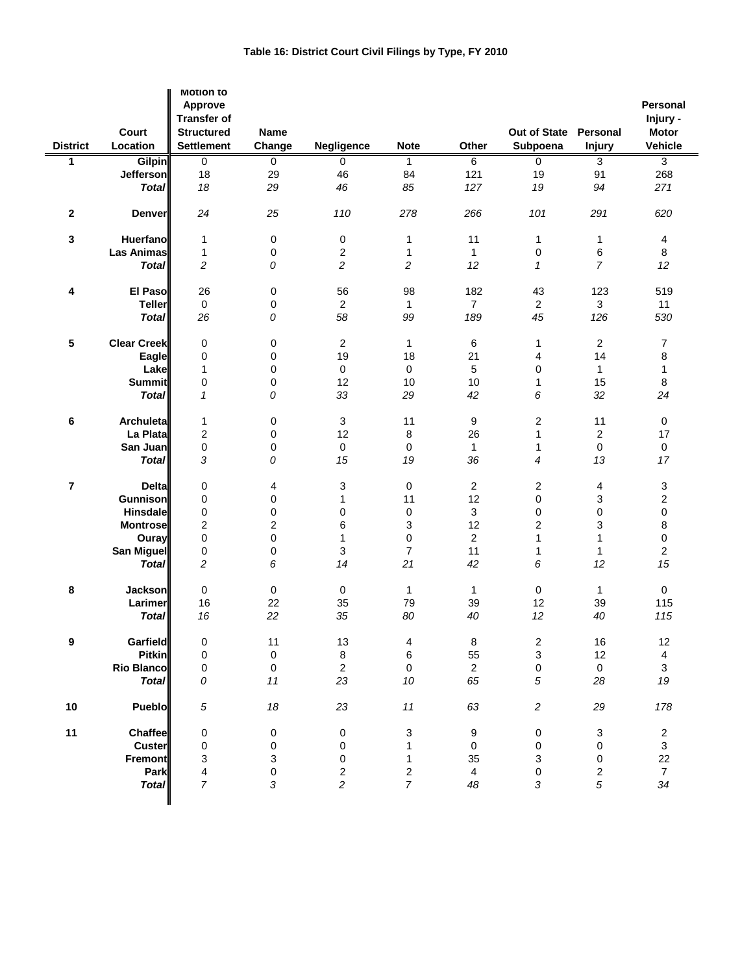| <b>District</b>         | Court<br>Location  | <b>Motion to</b><br>Approve<br><b>Transfer of</b><br><b>Structured</b><br><b>Settlement</b> | Name<br>Change | Negligence              | <b>Note</b>    | Other          | Out of State<br>Subpoena | Personal<br><b>Injury</b> | <b>Personal</b><br>Injury -<br><b>Motor</b><br><b>Vehicle</b> |
|-------------------------|--------------------|---------------------------------------------------------------------------------------------|----------------|-------------------------|----------------|----------------|--------------------------|---------------------------|---------------------------------------------------------------|
| $\overline{1}$          | <b>Gilpin</b>      | $\overline{0}$                                                                              | $\overline{0}$ | 0                       | $\mathbf{1}$   | 6              | $\overline{0}$           | 3                         | $\overline{3}$                                                |
|                         | <b>Jefferson</b>   | 18                                                                                          | 29             | 46                      | 84             | 121            | 19                       | 91                        | 268                                                           |
|                         | <b>Total</b>       | 18                                                                                          | 29             | 46                      | 85             | 127            | 19                       | 94                        | 271                                                           |
|                         |                    |                                                                                             |                |                         |                |                |                          |                           |                                                               |
| $\mathbf{2}$            | <b>Denver</b>      | 24                                                                                          | 25             | 110                     | 278            | 266            | 101                      | 291                       | 620                                                           |
| 3                       | <b>Huerfano</b>    | 1                                                                                           | $\pmb{0}$      | 0                       | 1              | 11             | 1                        | $\mathbf{1}$              | $\overline{\mathbf{4}}$                                       |
|                         | Las Animas         | 1                                                                                           | $\pmb{0}$      | $\overline{\mathbf{c}}$ | 1              | $\mathbf{1}$   | 0                        | 6                         | 8                                                             |
|                         | <b>Total</b>       | $\overline{c}$                                                                              | 0              | 2                       | $\overline{c}$ | 12             | $\mathbf{1}$             | 7                         | 12                                                            |
|                         |                    |                                                                                             |                |                         |                |                |                          |                           |                                                               |
| 4                       | El Paso            | 26                                                                                          | $\pmb{0}$      | 56                      | 98             | 182            | 43                       | 123                       | 519                                                           |
|                         | <b>Teller</b>      | 0                                                                                           | $\pmb{0}$      | $\overline{c}$          | 1              | $\overline{7}$ | $\overline{c}$           | 3                         | 11                                                            |
|                         | <b>Total</b>       | 26                                                                                          |                | 58                      | 99             | 189            | 45                       | 126                       | 530                                                           |
|                         |                    |                                                                                             | 0              |                         |                |                |                          |                           |                                                               |
| 5                       | <b>Clear Creek</b> |                                                                                             |                |                         |                |                |                          | $\overline{c}$            |                                                               |
|                         |                    | 0                                                                                           | 0              | 2                       | 1              | 6              | 1                        |                           | $\overline{7}$                                                |
|                         | Eagle              | 0                                                                                           | 0              | 19                      | 18             | 21             | 4                        | 14                        | 8                                                             |
|                         | Lake               | 1                                                                                           | $\pmb{0}$      | 0                       | 0              | 5              | 0                        | $\mathbf{1}$              | $\mathbf{1}$                                                  |
|                         | <b>Summit</b>      | 0                                                                                           | $\mathbf 0$    | 12                      | 10             | 10             | 1                        | 15                        | 8                                                             |
|                         | <b>Total</b>       | 1                                                                                           | 0              | 33                      | 29             | 42             | 6                        | 32                        | 24                                                            |
| 6                       | <b>Archuleta</b>   | 1                                                                                           | $\pmb{0}$      | 3                       | 11             | 9              | 2                        | 11                        | 0                                                             |
|                         | La Plata           | 2                                                                                           | $\mathbf 0$    | 12                      | 8              | 26             | 1                        | $\overline{c}$            | 17                                                            |
|                         | San Juan           |                                                                                             |                |                         |                | $\mathbf{1}$   |                          | $\mathbf 0$               | $\pmb{0}$                                                     |
|                         |                    | 0                                                                                           | $\pmb{0}$      | 0                       | 0              |                | 1                        |                           |                                                               |
|                         | <b>Total</b>       | 3                                                                                           | 0              | 15                      | 19             | 36             | 4                        | 13                        | 17                                                            |
| $\overline{\mathbf{r}}$ | <b>Deltal</b>      | $\pmb{0}$                                                                                   | 4              | 3                       | 0              | $\overline{2}$ | 2                        | 4                         | 3                                                             |
|                         | <b>Gunnison</b>    | 0                                                                                           | $\mathbf 0$    | $\mathbf{1}$            | 11             | 12             | 0                        | 3                         | $\overline{\mathbf{c}}$                                       |
|                         | <b>Hinsdale</b>    | $\pmb{0}$                                                                                   | $\pmb{0}$      | 0                       | 0              | 3              | 0                        | $\pmb{0}$                 | $\mathsf{O}\xspace$                                           |
|                         | <b>Montrose</b>    | $\mathbf 2$                                                                                 | $\overline{c}$ | 6                       | 3              | 12             | $\overline{\mathbf{c}}$  | 3                         | 8                                                             |
|                         | Ouray              | $\mathbf 0$                                                                                 | 0              | 1                       | 0              | $\overline{2}$ | 1                        | $\mathbf{1}$              | 0                                                             |
|                         | San Miguel         | $\pmb{0}$                                                                                   | $\mathbf 0$    | 3                       | $\overline{7}$ | 11             | $\mathbf{1}$             | $\mathbf{1}$              | $\overline{c}$                                                |
|                         | <b>Total</b>       | $\overline{c}$                                                                              | 6              | 14                      | 21             | 42             | 6                        | 12                        | 15                                                            |
|                         |                    |                                                                                             |                |                         |                |                |                          |                           |                                                               |
| 8                       | <b>Jackson</b>     | 0                                                                                           | $\pmb{0}$      | 0                       | 1              | 1              | $\pmb{0}$                | $\mathbf{1}$              | $\pmb{0}$                                                     |
|                         | Larimer            | 16                                                                                          | 22             | 35                      | 79             | 39             | 12                       | 39                        | 115                                                           |
|                         | <b>Total</b>       | 16                                                                                          | 22             | 35                      | 80             | 40             | 12                       | 40                        | 115                                                           |
| 9                       | Garfield           | 0                                                                                           | 11             | 13                      | 4              | 8              | 2                        | 16                        | 12                                                            |
|                         | <b>Pitkin</b>      | $\mathbf 0$                                                                                 | $\pmb{0}$      | 8                       | 6              | 55             | $\mathbf{3}$             | 12                        | $\overline{\mathbf{4}}$                                       |
|                         | <b>Rio Blanco</b>  | 0                                                                                           | $\pmb{0}$      | $\overline{2}$          | $\pmb{0}$      | $\overline{2}$ | $\mathbf 0$              | $\mathsf{O}\xspace$       | $\mathbf{3}$                                                  |
|                         | <b>Total</b>       | 0                                                                                           | 11             | 23                      | 10             | 65             | 5                        | 28                        | 19                                                            |
|                         |                    |                                                                                             |                |                         |                |                |                          |                           |                                                               |
| $10$                    | <b>Pueblo</b>      | $\sqrt{5}$                                                                                  | 18             | 23                      | 11             | 63             | $\boldsymbol{2}$         | 29                        | 178                                                           |
| 11                      | Chaffee            | 0                                                                                           | $\pmb{0}$      | 0                       | 3              | 9              | 0                        | $\ensuremath{\mathsf{3}}$ | $\boldsymbol{2}$                                              |
|                         | <b>Custer</b>      | 0                                                                                           | $\pmb{0}$      | 0                       | 1              | 0              | 0                        | 0                         | $\mathfrak{S}$                                                |
|                         | <b>Fremont</b>     | 3                                                                                           | 3              | 0                       | 1              | 35             | 3                        | 0                         | 22                                                            |
|                         | Park               | 4                                                                                           | 0              | 2                       | 2              | 4              | $\pmb{0}$                | $\overline{c}$            | $\overline{7}$                                                |
|                         | <b>Total</b>       | $\overline{7}$                                                                              | 3              | $\overline{c}$          | $\overline{7}$ | 48             | 3                        | 5                         | 34                                                            |
|                         |                    |                                                                                             |                |                         |                |                |                          |                           |                                                               |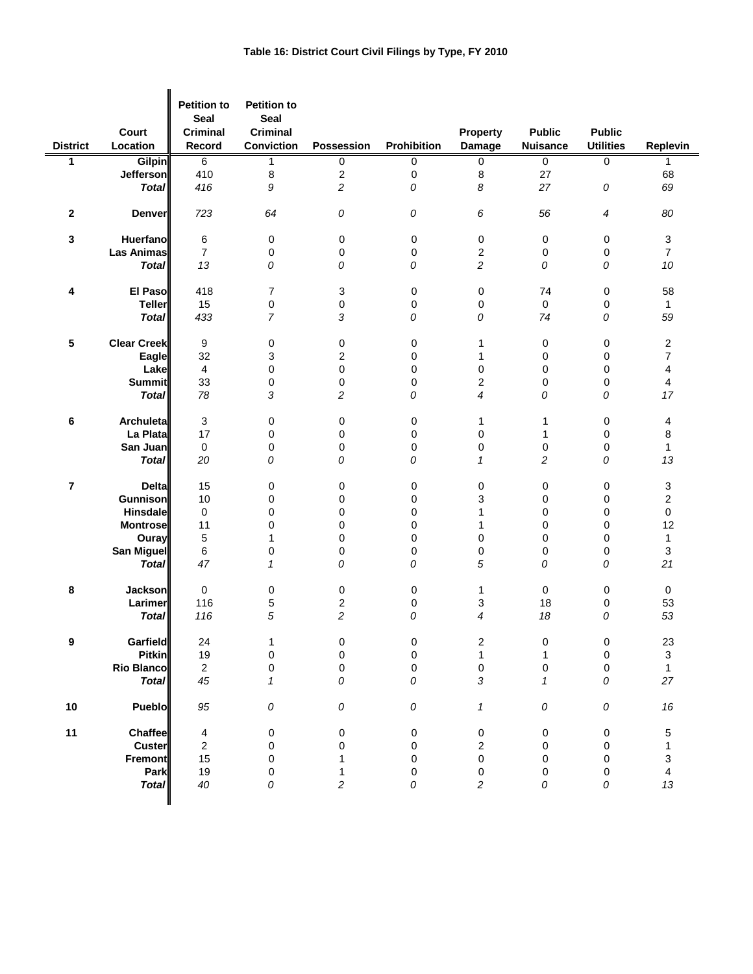| <b>District</b> | Court<br>Location  | <b>Petition to</b><br><b>Seal</b><br><b>Criminal</b><br>Record | <b>Petition to</b><br><b>Seal</b><br><b>Criminal</b><br><b>Conviction</b> | Possession              | Prohibition | Property<br><b>Damage</b> | <b>Public</b><br><b>Nuisance</b> | <b>Public</b><br><b>Utilities</b> | Replevin                  |
|-----------------|--------------------|----------------------------------------------------------------|---------------------------------------------------------------------------|-------------------------|-------------|---------------------------|----------------------------------|-----------------------------------|---------------------------|
| 1               | <b>Gilpin</b>      | 6                                                              | $\mathbf{1}$                                                              | 0                       | 0           | 0                         | $\mathbf 0$                      | 0                                 | $\mathbf{1}$              |
|                 | <b>Jefferson</b>   | 410                                                            | 8                                                                         | $\boldsymbol{2}$        | 0           | 8                         | 27                               |                                   | 68                        |
|                 | <b>Total</b>       | 416                                                            | 9                                                                         | $\overline{c}$          | 0           | 8                         | 27                               | 0                                 | 69                        |
|                 |                    |                                                                |                                                                           |                         |             |                           |                                  |                                   |                           |
| $\mathbf 2$     | Denver             | 723                                                            | 64                                                                        | 0                       | 0           | 6                         | 56                               | 4                                 | 80                        |
| 3               | Huerfano           | 6                                                              | 0                                                                         | 0                       | 0           | $\pmb{0}$                 | 0                                | 0                                 | $\mathsf 3$               |
|                 | <b>Las Animas</b>  | $\overline{7}$                                                 | 0                                                                         | $\pmb{0}$               | 0           | 2                         | 0                                | 0                                 | $\overline{7}$            |
|                 | <b>Total</b>       | 13                                                             | 0                                                                         | 0                       | 0           | 2                         | 0                                | 0                                 | 10                        |
|                 |                    |                                                                |                                                                           |                         |             |                           |                                  |                                   |                           |
| 4               | El Paso            | 418                                                            | 7                                                                         | 3                       | 0           | 0                         | 74                               | 0                                 | 58                        |
|                 | <b>Teller</b>      | 15                                                             | 0                                                                         | $\pmb{0}$               | 0           | 0                         | $\mathbf 0$                      | 0                                 | $\mathbf{1}$              |
|                 | <b>Total</b>       | 433                                                            | $\overline{7}$                                                            | 3                       | 0           | 0                         | 74                               | 0                                 | 59                        |
|                 |                    |                                                                |                                                                           |                         |             |                           |                                  |                                   |                           |
| 5               | <b>Clear Creek</b> | 9                                                              |                                                                           |                         |             |                           |                                  |                                   | $\boldsymbol{2}$          |
|                 |                    |                                                                | 0                                                                         | $\pmb{0}$               | 0           | 1                         | 0                                | 0                                 |                           |
|                 | Eagle              | 32                                                             | 3                                                                         | $\overline{c}$          | 0           | 1                         | 0                                | 0                                 | $\overline{7}$            |
|                 | Lake               | $\overline{4}$                                                 | 0                                                                         | $\boldsymbol{0}$        | 0           | 0                         | 0                                | 0                                 | 4                         |
|                 | <b>Summit</b>      | 33                                                             | 0                                                                         | $\mathbf 0$             | 0           | $\overline{c}$            | 0                                | 0                                 | 4                         |
|                 | <b>Total</b>       | 78                                                             | 3                                                                         | $\overline{c}$          | 0           | 4                         | 0                                | 0                                 | 17                        |
|                 | <b>Archuleta</b>   | 3                                                              |                                                                           |                         |             |                           |                                  |                                   |                           |
| 6               |                    |                                                                | 0                                                                         | 0                       | 0           | 1                         | 1                                | 0                                 | 4                         |
|                 | La Plata           | 17                                                             | 0                                                                         | $\mathbf 0$             | 0           | 0                         | 1                                | 0                                 | 8                         |
|                 | San Juan           | $\mathbf 0$                                                    | 0                                                                         | $\pmb{0}$               | 0           | 0                         | 0                                | 0                                 | $\mathbf{1}$              |
|                 | <b>Total</b>       | 20                                                             | 0                                                                         | 0                       | 0           | $\mathbf{1}$              | $\overline{c}$                   | 0                                 | 13                        |
| 7               | <b>Delta</b>       | 15                                                             | 0                                                                         | 0                       | 0           | 0                         | 0                                | 0                                 | 3                         |
|                 | <b>Gunnison</b>    | 10                                                             | 0                                                                         | 0                       | 0           | 3                         | 0                                | 0                                 | $\overline{2}$            |
|                 | Hinsdale           | 0                                                              | 0                                                                         | $\mathbf 0$             | 0           | 1                         | 0                                | 0                                 | 0                         |
|                 | <b>Montrose</b>    | 11                                                             | 0                                                                         | $\mathbf 0$             | 0           | 1                         | 0                                | 0                                 | 12                        |
|                 |                    |                                                                | $\mathbf{1}$                                                              | $\mathbf 0$             | 0           | $\mathbf 0$               | 0                                | 0                                 |                           |
|                 | Ouray              | 5                                                              |                                                                           |                         |             |                           |                                  |                                   | 1                         |
|                 | San Miguel         | 6                                                              | 0                                                                         | $\pmb{0}$               | 0           | 0                         | 0                                | 0                                 | $\ensuremath{\mathsf{3}}$ |
|                 | <b>Total</b>       | 47                                                             | $\mathbf{1}$                                                              | 0                       | 0           | 5                         | 0                                | 0                                 | 21                        |
| 8               | <b>Jackson</b>     | $\mathbf 0$                                                    | 0                                                                         | 0                       | 0           | 1                         | $\mathbf 0$                      | 0                                 | $\mathbf 0$               |
|                 | Larimer            | 116                                                            | 5                                                                         | 2                       | 0           | 3                         | 18                               | 0                                 | 53                        |
|                 | <b>Total</b>       | 116                                                            | 5                                                                         | $\overline{c}$          | 0           | 4                         | 18                               | 0                                 | 53                        |
| 9               | Garfield           | 24                                                             | 1                                                                         | $\pmb{0}$               | 0           | $\boldsymbol{2}$          | 0                                | 0                                 | 23                        |
|                 | <b>Pitkin</b>      | 19                                                             | $\pmb{0}$                                                                 | $\pmb{0}$               | $\mathsf 0$ | $\mathbf{1}$              | $\mathbf{1}$                     | 0                                 | $\mathsf 3$               |
|                 | <b>Rio Blanco</b>  | $\overline{2}$                                                 | $\pmb{0}$                                                                 | $\pmb{0}$               | $\mathsf 0$ | 0                         | $\pmb{0}$                        | $\pmb{0}$                         | $\mathbf{1}$              |
|                 | <b>Total</b>       | 45                                                             | $\mathbf{1}$                                                              | 0                       | 0           | 3                         | $\mathbf{1}$                     | 0                                 | 27                        |
|                 |                    |                                                                |                                                                           |                         |             |                           |                                  |                                   |                           |
| 10              | Pueblo             | 95                                                             | 0                                                                         | 0                       | 0           | $\mathbf{1}$              | 0                                | ${\cal O}$                        | 16                        |
| 11              | <b>Chaffee</b>     | 4                                                              | $\pmb{0}$                                                                 | $\pmb{0}$               | 0           | 0                         | 0                                | 0                                 | $\mathbf 5$               |
|                 | <b>Custer</b>      | $\overline{2}$                                                 | $\pmb{0}$                                                                 | $\pmb{0}$               | $\mathsf 0$ | $\overline{c}$            | 0                                | 0                                 | $\mathbf{1}$              |
|                 | <b>Fremont</b>     | 15                                                             | 0                                                                         | 1                       | 0           | $\mathbf 0$               | 0                                | 0                                 | 3                         |
|                 | Park               | 19                                                             | 0                                                                         | 1                       | 0           | $\pmb{0}$                 | $\pmb{0}$                        | $\pmb{0}$                         | $\overline{\mathbf{4}}$   |
|                 |                    |                                                                |                                                                           |                         |             |                           |                                  |                                   |                           |
|                 | <b>Total</b>       | $40\,$                                                         | 0                                                                         | $\overline{\mathbf{c}}$ | 0           | 2                         | 0                                | 0                                 | 13                        |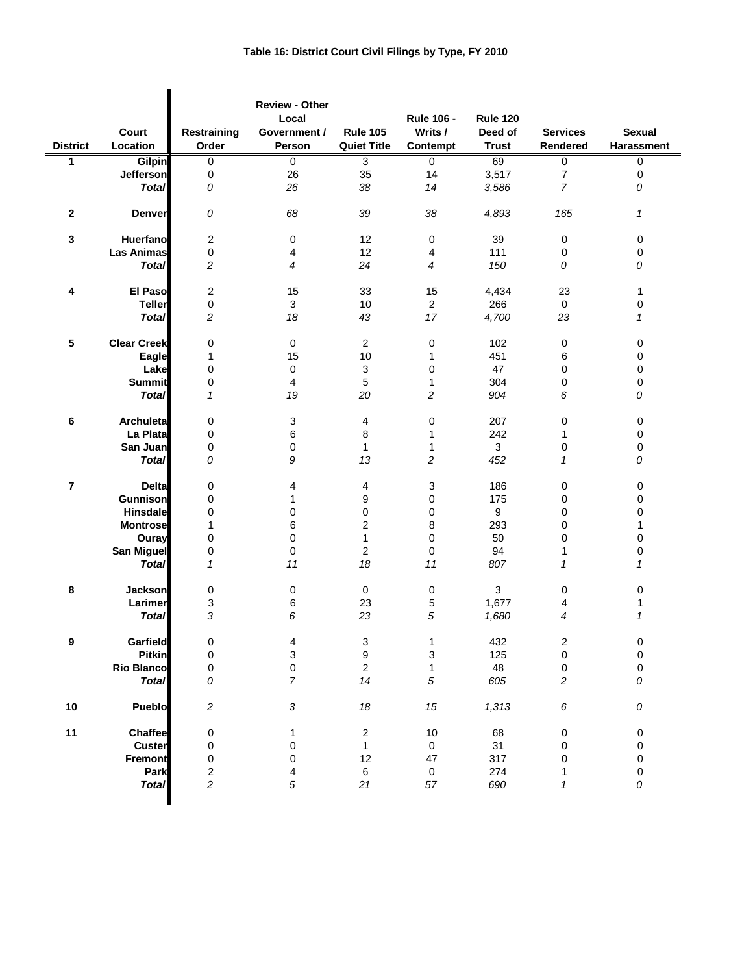| <b>District</b>         | Court<br>Location  | Restraining<br>Order    | <b>Review - Other</b><br>Local<br>Government /<br>Person | <b>Rule 105</b><br><b>Quiet Title</b> | <b>Rule 106 -</b><br>Writs /<br>Contempt | <b>Rule 120</b><br>Deed of<br><b>Trust</b> | <b>Services</b><br>Rendered | <b>Sexual</b><br>Harassment |
|-------------------------|--------------------|-------------------------|----------------------------------------------------------|---------------------------------------|------------------------------------------|--------------------------------------------|-----------------------------|-----------------------------|
| 1                       | <b>Gilpin</b>      | 0                       | 0                                                        | $\overline{3}$                        | 0                                        | 69                                         | 0                           | 0                           |
|                         | <b>Jefferson</b>   | 0                       | 26                                                       | 35                                    | 14                                       | 3,517                                      | $\boldsymbol{7}$            | 0                           |
|                         | <b>Total</b>       | 0                       | 26                                                       | 38                                    | 14                                       | 3,586                                      | $\overline{7}$              | 0                           |
|                         |                    |                         |                                                          |                                       |                                          |                                            |                             |                             |
| 2                       | <b>Denver</b>      | 0                       | 68                                                       | 39                                    | 38                                       | 4,893                                      | 165                         | 1                           |
| 3                       | <b>Huerfano</b>    | $\overline{c}$          | 0                                                        | 12                                    | $\mathbf 0$                              | 39                                         | 0                           | 0                           |
|                         | <b>Las Animas</b>  | 0                       | 4                                                        | 12                                    | 4                                        | 111                                        | 0                           | 0                           |
|                         | <b>Total</b>       | $\overline{c}$          | 4                                                        | 24                                    | 4                                        | 150                                        | 0                           | 0                           |
|                         |                    |                         |                                                          |                                       |                                          |                                            |                             |                             |
| 4                       | El Paso            | $\overline{\mathbf{c}}$ | 15                                                       | 33                                    | 15                                       | 4,434                                      | 23                          | 1                           |
|                         | <b>Teller</b>      | 0                       | 3                                                        | 10                                    | $\overline{2}$                           | 266                                        | 0                           | 0                           |
|                         | <b>Total</b>       | $\overline{c}$          | 18                                                       | 43                                    | 17                                       | 4,700                                      | 23                          | $\mathcal I$                |
|                         |                    |                         |                                                          |                                       |                                          |                                            |                             |                             |
| 5                       | <b>Clear Creek</b> | 0                       | $\mathbf 0$                                              | $\overline{2}$                        | $\pmb{0}$                                | 102                                        | 0                           | 0                           |
|                         | Eagle              | 1                       | 15                                                       | 10                                    | $\mathbf{1}$                             | 451                                        | 6                           | 0                           |
|                         | Lake               | 0                       | 0                                                        | $\sqrt{3}$                            | 0                                        | 47                                         | 0                           | 0                           |
|                         | <b>Summit</b>      | 0                       | $\overline{4}$                                           | 5                                     | 1                                        | 304                                        | 0                           | 0                           |
|                         |                    | $\mathbf{1}$            |                                                          |                                       |                                          |                                            |                             |                             |
|                         | <b>Total</b>       |                         | 19                                                       | 20                                    | $\overline{c}$                           | 904                                        | 6                           | 0                           |
| 6                       | <b>Archuleta</b>   | 0                       | 3                                                        | 4                                     | $\mathbf 0$                              | 207                                        | 0                           | 0                           |
|                         | La Plata           | 0                       | 6                                                        | 8                                     | 1                                        | 242                                        | 1                           | 0                           |
|                         | San Juan           | 0                       | 0                                                        | $\mathbf{1}$                          | 1                                        | 3                                          | 0                           | 0                           |
|                         | <b>Total</b>       | 0                       | 9                                                        | 13                                    | $\overline{c}$                           | 452                                        | $\mathbf{1}$                | 0                           |
| $\overline{\mathbf{r}}$ | <b>Deltal</b>      | 0                       | 4                                                        | 4                                     | 3                                        | 186                                        | 0                           | 0                           |
|                         | <b>Gunnison</b>    | 0                       | 1                                                        | 9                                     | $\pmb{0}$                                | 175                                        | 0                           | 0                           |
|                         | Hinsdale           | 0                       | 0                                                        | 0                                     | $\mathbf 0$                              | 9                                          | 0                           | 0                           |
|                         | <b>Montrose</b>    | 1                       | 6                                                        | $\overline{c}$                        | 8                                        | 293                                        | 0                           | 1                           |
|                         | Ouray              | 0                       | 0                                                        | 1                                     | $\mathbf 0$                              | 50                                         | 0                           | 0                           |
|                         | San Miguel         | 0                       | $\pmb{0}$                                                | $\overline{2}$                        | $\pmb{0}$                                | 94                                         | 1                           | 0                           |
|                         | <b>Total</b>       | $\mathbf{1}$            | 11                                                       | 18                                    | 11                                       | 807                                        | $\mathbf{1}$                | $\mathbf{1}$                |
|                         |                    |                         |                                                          |                                       |                                          |                                            |                             |                             |
| 8                       | <b>Jackson</b>     | 0                       | 0                                                        | $\mathbf 0$                           | $\mathbf 0$                              | 3                                          | 0                           | 0                           |
|                         | Larimer            | 3                       | 6                                                        | 23                                    | 5                                        | 1,677                                      | 4                           | 1                           |
|                         | <b>Total</b>       | 3                       | 6                                                        | 23                                    | 5                                        | 1,680                                      | 4                           | $\boldsymbol{\mathcal{L}}$  |
| 9                       | Garfield           | 0                       | 4                                                        | 3                                     | 1                                        | 432                                        | $\overline{\mathbf{c}}$     | 0                           |
|                         | <b>Pitkin</b>      | 0                       | 3                                                        | 9                                     | 3                                        | 125                                        | $\pmb{0}$                   | 0                           |
|                         | <b>Rio Blanco</b>  | 0                       | $\mathbf 0$                                              | $\overline{2}$                        | 1                                        | 48                                         | 0                           | $\mathbf 0$                 |
|                         | <b>Total</b>       | 0                       | $\overline{7}$                                           | 14                                    | $\sqrt{5}$                               | 605                                        | $\overline{c}$              | 0                           |
|                         |                    |                         |                                                          |                                       |                                          |                                            |                             |                             |
| 10                      | <b>Pueblo</b>      | $\overline{c}$          | $\sqrt{3}$                                               | 18                                    | 15                                       | 1,313                                      | $\boldsymbol{6}$            | ${\cal O}$                  |
| 11                      | <b>Chaffee</b>     | 0                       | 1                                                        | $\mathbf{2}$                          | 10                                       | 68                                         | 0                           | 0                           |
|                         | Custer             | 0                       | 0                                                        | $\mathbf{1}$                          | $\mathbf 0$                              | 31                                         | 0                           | 0                           |
|                         | <b>Fremont</b>     | 0                       | 0                                                        | 12                                    | 47                                       | 317                                        | 0                           | 0                           |
|                         | Park               | 2                       | 4                                                        | $\,6\,$                               | $\mathsf{O}\xspace$                      | 274                                        | 1                           | 0                           |
|                         | <b>Total</b>       | $\overline{c}$          | 5                                                        | 21                                    | 57                                       | 690                                        | $\mathbf{1}$                | 0                           |
|                         |                    |                         |                                                          |                                       |                                          |                                            |                             |                             |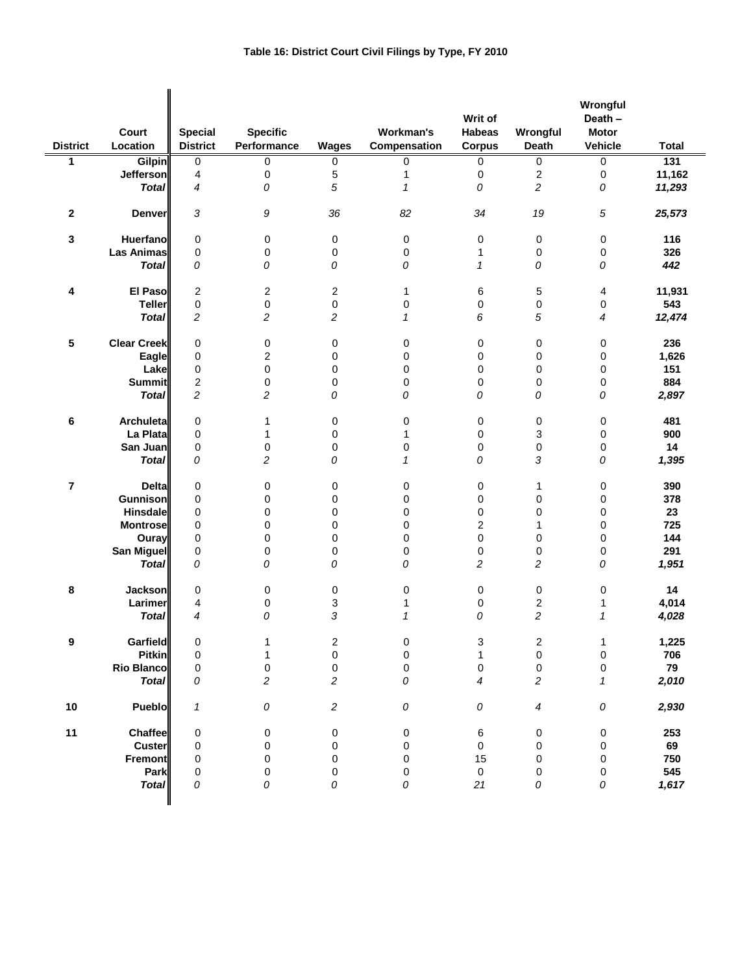| <b>District</b>         | Court<br>Location  | <b>Special</b><br><b>District</b> | <b>Specific</b><br>Performance | Wages          | Workman's<br>Compensation  | Writ of<br><b>Habeas</b><br><b>Corpus</b> | Wrongful<br>Death       | Wrongful<br>Death -<br><b>Motor</b><br>Vehicle | Total  |
|-------------------------|--------------------|-----------------------------------|--------------------------------|----------------|----------------------------|-------------------------------------------|-------------------------|------------------------------------------------|--------|
| 1                       | <b>Gilpin</b>      | 0                                 | 0                              | 0              | 0                          | 0                                         | 0                       | $\overline{0}$                                 | 131    |
|                         | Jefferson          | 4                                 | 0                              | 5              | 1                          | 0                                         | 2                       | 0                                              | 11,162 |
|                         | <b>Total</b>       | 4                                 | 0                              | 5              | $\boldsymbol{\mathcal{L}}$ | 0                                         | 2                       | 0                                              | 11,293 |
|                         |                    |                                   |                                |                |                            |                                           |                         |                                                |        |
| $\mathbf{2}$            | <b>Denver</b>      | 3                                 | 9                              | 36             | 82                         | 34                                        | 19                      | 5                                              | 25,573 |
| $\mathbf 3$             | <b>Huerfano</b>    | $\mathbf 0$                       | 0                              | 0              | 0                          | 0                                         | 0                       | 0                                              | 116    |
|                         | <b>Las Animas</b>  | $\mathbf 0$                       | 0                              | 0              | 0                          | 1                                         | 0                       | 0                                              | 326    |
|                         | <b>Total</b>       | 0                                 | 0                              | 0              | 0                          | $\mathcal I$                              | 0                       | 0                                              | 442    |
|                         |                    |                                   |                                |                |                            |                                           |                         |                                                |        |
| 4                       | El Pasol           | $\overline{c}$                    | 2                              | $\overline{c}$ | 1                          | 6                                         | 5                       | 4                                              | 11,931 |
|                         | <b>Teller</b>      | $\pmb{0}$                         | 0                              | 0              | 0                          | 0                                         | 0                       | 0                                              | 543    |
|                         | <b>Total</b>       | $\overline{c}$                    | $\overline{c}$                 | $\overline{c}$ | $\mathcal I$               | 6                                         | 5                       | 4                                              | 12,474 |
|                         |                    |                                   |                                |                |                            |                                           |                         |                                                |        |
| 5                       | <b>Clear Creek</b> | $\mathbf 0$                       | 0                              | 0              | 0                          | 0                                         | 0                       | 0                                              | 236    |
|                         | Eagle              | 0                                 | $\overline{\mathbf{c}}$        | 0              | 0                          | 0                                         | 0                       | 0                                              | 1,626  |
|                         | Lake               | $\mathbf 0$                       | 0                              | 0              | 0                          | 0                                         | 0                       | 0                                              | 151    |
|                         | <b>Summit</b>      | 2                                 | 0                              | 0              | 0                          | 0                                         | 0                       | 0                                              | 884    |
|                         | <b>Total</b>       | $\overline{c}$                    | $\overline{c}$                 | 0              | 0                          | 0                                         | 0                       | 0                                              | 2,897  |
|                         |                    |                                   |                                |                |                            |                                           |                         |                                                |        |
| 6                       | <b>Archuleta</b>   | 0                                 | 1                              | 0              | 0                          | 0                                         | 0                       | 0                                              | 481    |
|                         | La Plata           | $\mathbf 0$                       | 1                              | 0              | 1                          | 0                                         | 3                       | 0                                              | 900    |
|                         | San Juan           | 0                                 |                                | 0              | 0                          |                                           |                         |                                                | 14     |
|                         | <b>Total</b>       | 0                                 | 0<br>2                         | 0              | $\boldsymbol{\mathcal{L}}$ | 0<br>0                                    | 0<br>3                  | 0<br>0                                         |        |
|                         |                    |                                   |                                |                |                            |                                           |                         |                                                | 1,395  |
| $\overline{\mathbf{r}}$ | <b>Delta</b>       | $\mathbf 0$                       | 0                              | 0              | 0                          | 0                                         | 1                       | 0                                              | 390    |
|                         | <b>Gunnison</b>    | $\mathbf 0$                       |                                | 0              | 0                          | 0                                         | 0                       | 0                                              | 378    |
|                         |                    |                                   | 0                              |                |                            |                                           |                         |                                                |        |
|                         | <b>Hinsdale</b>    | 0                                 | 0                              | 0              | 0                          | 0                                         | 0                       | 0                                              | 23     |
|                         | <b>Montrose</b>    | 0                                 | 0                              | 0              | 0                          | 2                                         | 1                       | 0                                              | 725    |
|                         | Ouray              | 0                                 | 0                              | 0              | 0                          | 0                                         | 0                       | 0                                              | 144    |
|                         | San Miguel         | $\mathbf 0$                       | 0                              | 0              | 0                          | 0                                         | 0                       | 0                                              | 291    |
|                         | <b>Total</b>       | 0                                 | 0                              | 0              | 0                          | $\overline{c}$                            | 2                       | 0                                              | 1,951  |
| 8                       | <b>Jackson</b>     | 0                                 | 0                              | 0              | 0                          | 0                                         | 0                       | 0                                              | 14     |
|                         | Larimer            | 4                                 | 0                              | 3              | 1                          | 0                                         | $\mathbf 2$             | $\mathbf 1$                                    | 4,014  |
|                         | <b>Total</b>       | 4                                 | 0                              | 3              | 1                          | 0                                         | $\overline{c}$          | $\mathcal I$                                   | 4,028  |
|                         |                    |                                   |                                |                |                            |                                           |                         |                                                |        |
| 9                       | <b>Garfield</b>    | 0                                 | 1                              | 2              | 0                          | 3                                         | $\overline{\mathbf{c}}$ | $\mathbf 1$                                    | 1,225  |
|                         | <b>Pitkin</b>      | $\mathbf 0$                       | 1                              | $\mathbf 0$    | $\pmb{0}$                  | $\mathbf{1}$                              | $\mathsf 0$             | $\pmb{0}$                                      | 706    |
|                         | <b>Rio Blanco</b>  | 0                                 | $\pmb{0}$                      | $\pmb{0}$      | $\mathbf 0$                | $\pmb{0}$                                 | $\pmb{0}$               | 0                                              | 79     |
|                         | <b>Total</b>       | 0                                 | $\overline{c}$                 | $\overline{c}$ | 0                          | 4                                         | 2                       | $\mathbf{1}$                                   | 2,010  |
|                         |                    |                                   |                                |                |                            |                                           |                         |                                                |        |
| $10$                    | Pueblo             | 1                                 | ${\cal O}$                     | $\overline{c}$ | 0                          | 0                                         | 4                       | 0                                              | 2,930  |
| 11                      | Chaffee            | 0                                 | 0                              | 0              | $\pmb{0}$                  | 6                                         | 0                       | $\pmb{0}$                                      | 253    |
|                         | Custer             | 0                                 | 0                              | 0              | 0                          | 0                                         | 0                       | 0                                              | 69     |
|                         | <b>Fremont</b>     | 0                                 | 0                              | 0              | 0                          | 15                                        | 0                       | 0                                              | 750    |
|                         | Park               | 0                                 | 0                              | 0              | 0                          | 0                                         | 0                       | 0                                              | 545    |
|                         |                    | 0                                 | 0                              | 0              | 0                          | 21                                        |                         |                                                | 1,617  |
|                         | <b>Total</b>       |                                   |                                |                |                            |                                           | 0                       | 0                                              |        |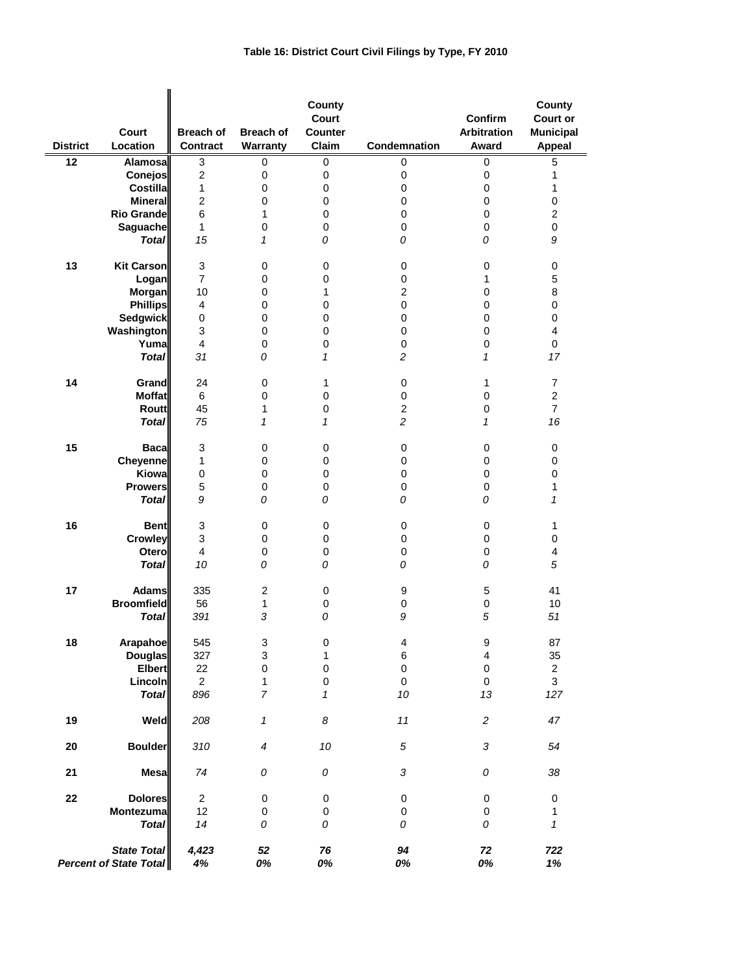| <b>District</b> | Court<br>Location                                   | <b>Breach of</b><br><b>Contract</b> | <b>Breach of</b><br>Warranty | County<br>Court<br><b>Counter</b><br>Claim | Condemnation   | Confirm<br><b>Arbitration</b><br>Award | County<br><b>Court or</b><br><b>Municipal</b><br><b>Appeal</b> |
|-----------------|-----------------------------------------------------|-------------------------------------|------------------------------|--------------------------------------------|----------------|----------------------------------------|----------------------------------------------------------------|
| 12              | Alamosa                                             | 3                                   | 0                            | 0                                          | 0              | 0                                      | $\overline{5}$                                                 |
|                 | <b>Conejos</b>                                      | $\overline{2}$                      | $\mathbf 0$                  | 0                                          | 0              | 0                                      | 1                                                              |
|                 | <b>Costilla</b>                                     | $\mathbf{1}$                        | 0                            | 0                                          | 0              | 0                                      | $\mathbf{1}$                                                   |
|                 | <b>Minerall</b>                                     | $\overline{2}$                      | 0                            | $\mathbf 0$                                | 0              | 0                                      | $\pmb{0}$                                                      |
|                 | <b>Rio Grandel</b>                                  | 6                                   | 1                            | $\pmb{0}$                                  | 0              | 0                                      | $\overline{c}$                                                 |
|                 | Saguache                                            | 1                                   | 0                            | 0                                          | 0              | 0                                      | 0                                                              |
|                 | <b>Total</b>                                        | 15                                  | 1                            | 0                                          | 0              | 0                                      | 9                                                              |
| 13              | <b>Kit Carson</b>                                   | 3                                   | $\mathbf 0$                  | 0                                          | $\mathbf 0$    | 0                                      |                                                                |
|                 |                                                     | 7                                   | 0                            | 0                                          | 0              | 1                                      | 0<br>$\mathbf 5$                                               |
|                 | Logan<br>Morgan                                     | 10                                  |                              | 1                                          | $\overline{2}$ | 0                                      | 8                                                              |
|                 |                                                     |                                     | 0                            |                                            |                |                                        |                                                                |
|                 | <b>Phillips</b>                                     | 4                                   | 0                            | 0                                          | 0              | 0                                      | $\pmb{0}$                                                      |
|                 | <b>Sedgwick</b>                                     | 0                                   | 0                            | 0                                          | 0              | 0                                      | 0                                                              |
|                 | Washington                                          | 3                                   | 0                            | $\mathbf 0$                                | 0              | 0                                      | $\overline{4}$                                                 |
|                 | Yuma                                                | 4                                   | 0                            | 0                                          | 0              | 0                                      | 0                                                              |
|                 | <b>Total</b>                                        | 31                                  | 0                            | 1                                          | $\overline{c}$ | $\mathbf{1}$                           | 17                                                             |
| 14              | Grand                                               | 24                                  | $\mathbf 0$                  | 1                                          | 0              | 1                                      | $\overline{7}$                                                 |
|                 | <b>Moffat</b>                                       | 6                                   | 0                            | 0                                          | 0              | 0                                      | $\overline{c}$                                                 |
|                 | <b>Routt</b>                                        | 45                                  | 1                            | 0                                          | $\overline{c}$ | 0                                      | $\overline{7}$                                                 |
|                 | <b>Total</b>                                        | 75                                  | $\mathbf{1}$                 | $\mathbf{1}$                               | $\overline{c}$ | $\mathbf{1}$                           | 16                                                             |
| 15              | <b>Baca</b>                                         | 3                                   | 0                            | 0                                          | 0              | 0                                      | 0                                                              |
|                 | Cheyenne                                            | $\mathbf{1}$                        | 0                            | 0                                          | 0              | 0                                      | 0                                                              |
|                 | Kiowa                                               | $\pmb{0}$                           | 0                            | $\pmb{0}$                                  | $\pmb{0}$      | 0                                      | $\pmb{0}$                                                      |
|                 | <b>Prowers</b>                                      | 5                                   | 0                            | 0                                          | 0              | 0                                      | $\mathbf{1}$                                                   |
|                 | <b>Total</b>                                        | 9                                   | 0                            | 0                                          | 0              | 0                                      | 1                                                              |
| 16              | <b>Bent</b>                                         | 3                                   | $\mathbf 0$                  | 0                                          | 0              | 0                                      | 1                                                              |
|                 | <b>Crowley</b>                                      | 3                                   | 0                            | 0                                          | 0              | 0                                      | $\pmb{0}$                                                      |
|                 | Otero                                               | 4                                   | 0                            | 0                                          | 0              | 0                                      | 4                                                              |
|                 | <b>Total</b>                                        | 10                                  | 0                            | 0                                          | 0              | 0                                      | 5                                                              |
|                 |                                                     |                                     |                              |                                            |                |                                        |                                                                |
| 17              | <b>Adams</b><br><b>Broomfield</b>                   | 335                                 | $\overline{2}$               | 0                                          | 9              | 5                                      | 41                                                             |
|                 |                                                     | 56                                  | 1                            | 0                                          | 0              | 0                                      | 10                                                             |
|                 | <b>Total</b>                                        | 391                                 | $\sqrt{3}$                   | 0                                          | 9              | 5                                      | 51                                                             |
| 18              | <b>Arapahoe</b>                                     | 545                                 | 3                            | 0                                          | 4              | 9                                      | 87                                                             |
|                 | <b>Douglas</b>                                      | 327                                 | 3                            | 1                                          | 6              | 4                                      | 35                                                             |
|                 | <b>Elbert</b>                                       | 22                                  | $\mathbf 0$                  | $\pmb{0}$                                  | $\mathbf 0$    | $\pmb{0}$                              | $\overline{\mathbf{c}}$                                        |
|                 | Lincoln                                             | $\overline{2}$                      | $\mathbf{1}$                 | $\pmb{0}$                                  | $\pmb{0}$      | $\pmb{0}$                              | 3                                                              |
|                 | <b>Total</b>                                        | 896                                 | $\overline{7}$               | $\mathbf{1}$                               | 10             | 13                                     | 127                                                            |
| 19              | Weld                                                | 208                                 | $\mathbf{1}$                 | 8                                          | $11$           | $\overline{c}$                         | 47                                                             |
| 20              | <b>Boulder</b>                                      | 310                                 | $\boldsymbol{4}$             | $10\,$                                     | $\sqrt{5}$     | 3                                      | 54                                                             |
| 21              | Mesa                                                | 74                                  | 0                            | 0                                          | 3              | 0                                      | 38                                                             |
| 22              | <b>Dolores</b>                                      | $\overline{2}$                      | 0                            | 0                                          | 0              | 0                                      | $\pmb{0}$                                                      |
|                 | Montezuma                                           | 12                                  | 0                            | 0                                          | 0              | 0                                      | 1                                                              |
|                 | <b>Total</b>                                        | 14                                  | 0                            | 0                                          | 0              | 0                                      | $\mathbf{1}$                                                   |
|                 | <b>State Total</b><br><b>Percent of State Total</b> | 4,423<br>4%                         | 52<br>0%                     | 76<br>0%                                   | 94<br>0%       | $\bf 72$<br>0%                         | 722<br>1%                                                      |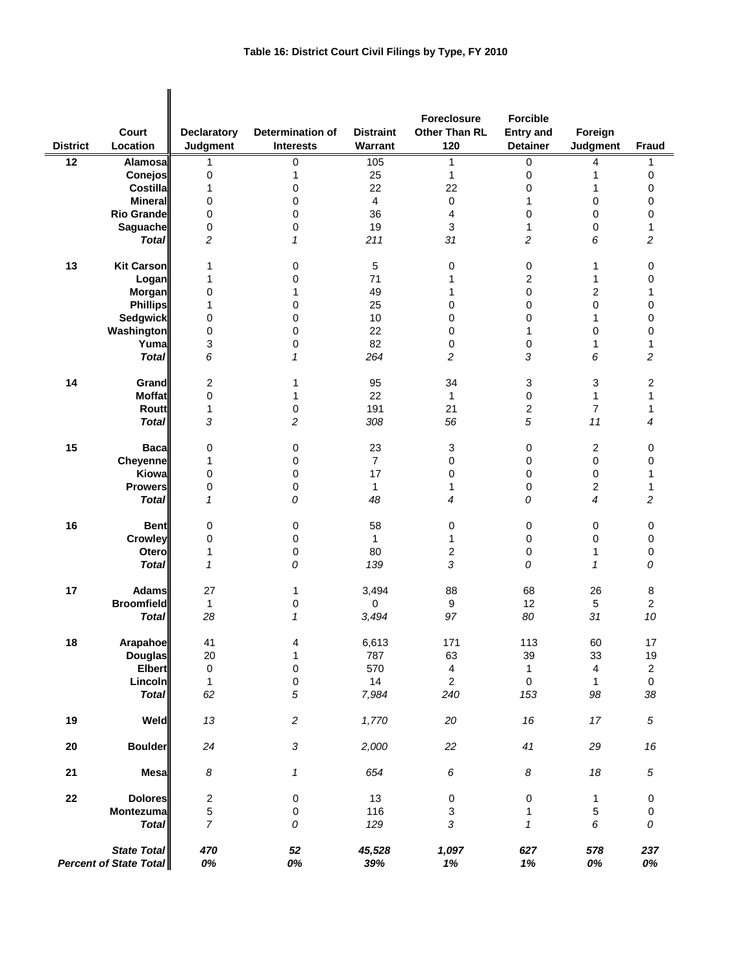|                 |                                                     |                    |                  |                  | Foreclosure    | <b>Forcible</b>  |                         |                  |
|-----------------|-----------------------------------------------------|--------------------|------------------|------------------|----------------|------------------|-------------------------|------------------|
|                 | Court                                               | <b>Declaratory</b> | Determination of | <b>Distraint</b> | Other Than RL  | <b>Entry and</b> | Foreign                 |                  |
| <b>District</b> | Location                                            | Judgment           | <b>Interests</b> | Warrant          | 120            | <b>Detainer</b>  | Judgment                | <b>Fraud</b>     |
| 12              | Alamosa                                             | 1                  | 0                | 105              | 1              | 0                | 4                       | 1                |
|                 | Conejos                                             | 0                  | 1                | 25               | $\mathbf{1}$   | $\pmb{0}$        | 1                       | 0                |
|                 | Costilla                                            | 1                  | 0                | 22               | 22             | 0                | 1                       | 0                |
|                 | <b>Mineral</b>                                      | 0                  | 0                | 4                | 0              | 1                | 0                       | 0                |
|                 | <b>Rio Grande</b>                                   | 0                  | 0                | 36               | 4              | 0                | 0                       | 0                |
|                 | Saguache                                            | 0                  | 0                | 19               | 3              | 1                | 0                       | 1                |
|                 | <b>Total</b>                                        | 2                  | 1                | 211              | 31             | 2                | 6                       | 2                |
| 13              | <b>Kit Carson</b>                                   | 1                  | 0                | 5                | 0              | $\mathbf 0$      | 1                       | 0                |
|                 | Logan                                               | 1                  | 0                | 71               | 1              | 2                | 1                       | 0                |
|                 | Morgan                                              | 0                  | 1                | 49               | 1              | $\pmb{0}$        | 2                       | 1                |
|                 | <b>Phillips</b>                                     | 1                  | 0                | 25               | 0              | 0                | 0                       | 0                |
|                 | <b>Sedgwick</b>                                     | 0                  | 0                | 10               | 0              | 0                | 1                       | 0                |
|                 | Washington                                          | 0                  | 0                | 22               | 0              | 1                | 0                       | 0                |
|                 | Yumal                                               | 3                  | 0                | 82               | 0              | $\pmb{0}$        | 1                       | 1                |
|                 | <b>Total</b>                                        | 6                  | 1                | 264              | 2              | 3                | 6                       | 2                |
| 14              | Grand                                               | 2                  | 1                | 95               | 34             | 3                | 3                       | 2                |
|                 | <b>Moffat</b>                                       | 0                  | 1                | 22               | $\mathbf{1}$   | $\pmb{0}$        | 1                       | 1                |
|                 | Routt                                               | 1                  | 0                | 191              | 21             | $\boldsymbol{2}$ | $\overline{7}$          | 1                |
|                 | <b>Total</b>                                        | 3                  | 2                | 308              | 56             | 5                | 11                      | 4                |
| 15              | <b>Baca</b>                                         | 0                  | 0                | 23               | 3              | $\mathbf 0$      | 2                       | 0                |
|                 | Cheyenne                                            | 1                  | 0                | $\overline{7}$   | 0              | 0                | 0                       | 0                |
|                 | Kiowa                                               | 0                  | 0                | 17               | 0              | 0                | 0                       | 1                |
|                 | <b>Prowers</b>                                      | 0                  | 0                | $\mathbf{1}$     | 1              | $\mathbf 0$      | $\overline{2}$          | 1                |
|                 | <b>Total</b>                                        | 1                  | 0                | 48               | 4              | 0                | $\overline{4}$          | 2                |
| 16              | <b>Bent</b>                                         | 0                  | 0                | 58               | 0              | $\pmb{0}$        | 0                       | 0                |
|                 | <b>Crowley</b>                                      | 0                  | 0                | $\mathbf{1}$     | 1              | $\mathbf 0$      | 0                       | 0                |
|                 | Otero                                               | 1                  | 0                | 80               | 2              | $\mathbf 0$      | 1                       | 0                |
|                 | <b>Total</b>                                        | $\mathbf{1}$       | 0                | 139              | 3              | 0                | $\mathbf{1}$            | 0                |
| 17              | <b>Adams</b>                                        | 27                 | 1                | 3,494            | 88             | 68               | 26                      | 8                |
|                 | <b>Broomfield</b>                                   | $\mathbf 1$        | 0                | 0                | 9              | 12               | 5                       | $\boldsymbol{2}$ |
|                 | <b>Total</b>                                        | 28                 | 1                | 3,494            | 97             | 80               | 31                      | 10               |
| ${\bf 18}$      | Arapahoe                                            | 41                 | 4                |                  | 171            | 113              | 60                      | $17\,$           |
|                 | <b>Douglas</b>                                      | 20                 | $\mathbf{1}$     | 6,613<br>787     | 63             | 39               | 33                      | 19               |
|                 | <b>Elbert</b>                                       | $\pmb{0}$          | $\pmb{0}$        | 570              | 4              | $\mathbf{1}$     | $\overline{\mathbf{4}}$ | $\mathbf 2$      |
|                 | Lincoln                                             | 1                  | 0                | 14               | $\overline{2}$ | $\pmb{0}$        | $\mathbf{1}$            | $\pmb{0}$        |
|                 | <b>Total</b>                                        | 62                 | 5                | 7,984            | 240            | 153              | 98                      | 38               |
| 19              | Weld                                                | $13\,$             | $\overline{c}$   | 1,770            | 20             | 16               | 17                      | $\sqrt{5}$       |
| 20              | <b>Boulder</b>                                      | 24                 | $\sqrt{3}$       | 2,000            | 22             | 41               | 29                      | 16               |
| 21              | <b>Mesa</b>                                         | $\boldsymbol{8}$   | 1                | 654              | 6              | 8                | 18                      | $\sqrt{5}$       |
| ${\bf 22}$      | <b>Dolores</b>                                      | $\overline{c}$     | 0                | 13               | 0              | $\pmb{0}$        | 1                       | 0                |
|                 | Montezuma                                           | 5                  | 0                | 116              | 3              | 1                | 5                       | 0                |
|                 | <b>Total</b>                                        | $\overline{7}$     | 0                | 129              | $\sqrt{3}$     | $\mathbf{1}$     | 6                       | 0                |
|                 | <b>State Total</b><br><b>Percent of State Total</b> | 470<br>0%          | $52\,$<br>0%     | 45,528<br>39%    | 1,097<br>1%    | 627<br>1%        | 578<br>0%               | 237<br>0%        |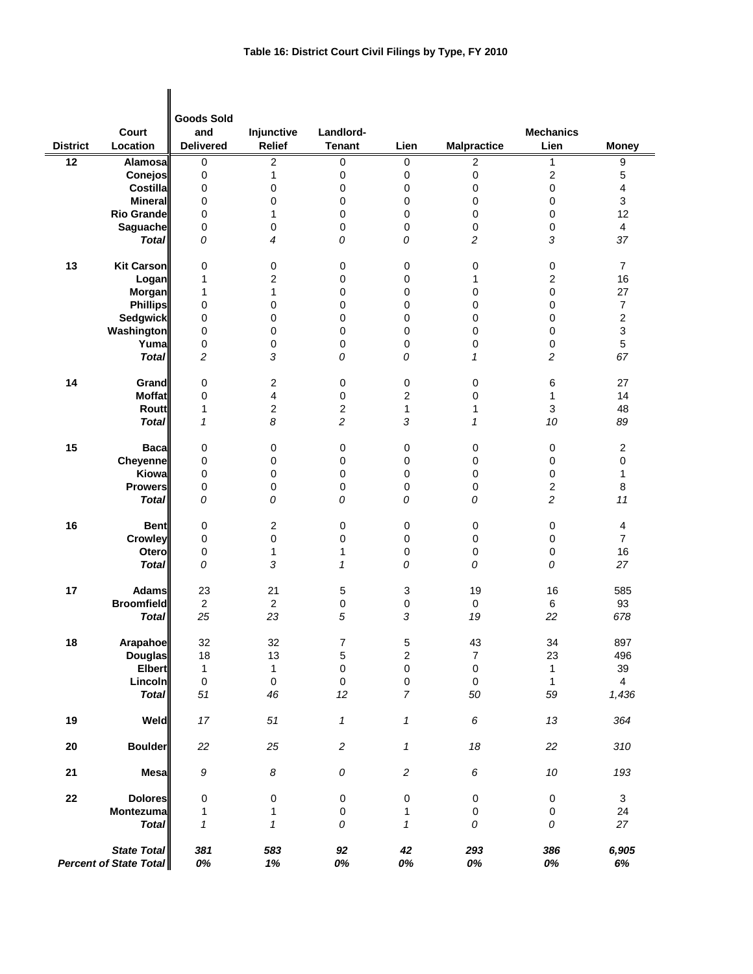|                 | Court                                               | <b>Goods Sold</b><br>and | Injunctive       | Landlord-        |                  |                    | <b>Mechanics</b>        |                         |
|-----------------|-----------------------------------------------------|--------------------------|------------------|------------------|------------------|--------------------|-------------------------|-------------------------|
| <b>District</b> | Location                                            | <b>Delivered</b>         | <b>Relief</b>    | <b>Tenant</b>    | Lien             | <b>Malpractice</b> | Lien                    | <b>Money</b>            |
| 12              | Alamosal                                            | 0                        | $\overline{2}$   | $\pmb{0}$        | $\mathbf 0$      | $\overline{c}$     | 1                       | 9                       |
|                 | Conejos                                             | $\pmb{0}$                | 1                | 0                | $\boldsymbol{0}$ | 0                  | $\overline{\mathbf{c}}$ | $\sqrt{5}$              |
|                 | Costilla                                            | $\pmb{0}$                | $\mathbf 0$      | 0                | $\boldsymbol{0}$ | $\mathsf 0$        | $\pmb{0}$               | $\overline{\mathbf{4}}$ |
|                 | <b>Mineral</b>                                      | 0                        | $\boldsymbol{0}$ | 0                | 0                | 0                  | 0                       | $\mathsf 3$             |
|                 | <b>Rio Grande</b>                                   | 0                        | $\mathbf{1}$     | 0                | $\mathbf 0$      | 0                  | 0                       | 12                      |
|                 | <b>Saguache</b>                                     | $\mathbf 0$              | 0                | 0                | $\boldsymbol{0}$ | 0                  | 0                       | $\overline{4}$          |
|                 | <b>Total</b>                                        | 0                        | 4                | 0                | 0                | $\overline{c}$     | 3                       | 37                      |
| 13              | <b>Kit Carson</b>                                   | 0                        | 0                | 0                | $\boldsymbol{0}$ | 0                  | 0                       | $\overline{7}$          |
|                 | Logan                                               | 1                        | 2                | 0                | $\mathbf 0$      | 1                  | $\overline{c}$          | 16                      |
|                 | <b>Morgan</b>                                       | 1                        | 1                | 0                | $\mathbf 0$      | 0                  | $\pmb{0}$               | 27                      |
|                 | <b>Phillips</b>                                     | 0                        | 0                | 0                | $\mathbf 0$      | 0                  | 0                       | $\boldsymbol{7}$        |
|                 | <b>Sedgwick</b>                                     | 0                        | 0                | 0                | $\mathbf 0$      | 0                  | 0                       | $\boldsymbol{2}$        |
|                 | <b>Washington</b>                                   | 0                        | 0                | 0                | $\boldsymbol{0}$ | 0                  | 0                       | 3                       |
|                 | Yuma                                                | 0                        | 0                | 0                | $\pmb{0}$        | 0                  | 0                       | 5                       |
|                 | <b>Total</b>                                        | 2                        | 3                | 0                | 0                | $\mathbf{1}$       | 2                       | 67                      |
| 14              | Grand                                               | 0                        | 2                | 0                | $\pmb{0}$        | 0                  | 6                       | 27                      |
|                 | <b>Moffat</b>                                       | 0                        | 4                | 0                | 2                | 0                  | 1                       | 14                      |
|                 | <b>Routt</b>                                        | 1                        | $\boldsymbol{2}$ | $\boldsymbol{2}$ | $\mathbf{1}$     | 1                  | 3                       | 48                      |
|                 | <b>Total</b>                                        | $\mathcal I$             | 8                | 2                | 3                | $\mathbf{1}$       | 10                      | 89                      |
| 15              | <b>Baca</b>                                         | 0                        | 0                | $\pmb{0}$        | $\pmb{0}$        | $\mathbf 0$        | 0                       | $\boldsymbol{2}$        |
|                 | Cheyenne                                            | $\pmb{0}$                | 0                | 0                | $\mathbf 0$      | 0                  | $\pmb{0}$               | 0                       |
|                 | Kiowa                                               | 0                        | 0                | 0                | $\boldsymbol{0}$ | 0                  | 0                       | $\mathbf{1}$            |
|                 | <b>Prowers</b>                                      | 0                        | 0                | 0                | $\boldsymbol{0}$ | 0                  | 2                       | 8                       |
|                 | <b>Total</b>                                        | 0                        | 0                | 0                | 0                | 0                  | 2                       | 11                      |
| 16              | <b>Bent</b>                                         | $\pmb{0}$                | 2                | 0                | $\pmb{0}$        | 0                  | 0                       | $\overline{4}$          |
|                 | Crowley                                             | $\pmb{0}$                | 0                | 0                | $\boldsymbol{0}$ | 0                  | $\pmb{0}$               | $\overline{7}$          |
|                 | Otero                                               | $\pmb{0}$                | 1                | $\mathbf{1}$     | $\boldsymbol{0}$ | 0                  | 0                       | 16                      |
|                 | <b>Total</b>                                        | 0                        | 3                | 1                | 0                | 0                  | 0                       | 27                      |
| 17              | <b>Adams</b>                                        | 23                       | 21               | 5                | 3                | 19                 | 16                      | 585                     |
|                 | <b>Broomfield</b>                                   | $\overline{2}$           | $\sqrt{2}$       | 0                | $\pmb{0}$        | 0                  | 6                       | 93                      |
|                 | <b>Total</b>                                        | 25                       | 23               | 5                | 3                | 19                 | 22                      | 678                     |
| 18              | Arapahoe                                            | 32                       | 32               | $\boldsymbol{7}$ | $\,$ 5 $\,$      | 43                 | 34                      | 897                     |
|                 | <b>Douglas</b>                                      | 18                       | 13               | $\mathbf 5$      | $\overline{c}$   | $\overline{7}$     | 23                      | 496                     |
|                 | <b>Elbert</b>                                       | $\mathbf{1}$             | 1                | $\mathbf 0$      | $\pmb{0}$        | $\pmb{0}$          | $\mathbf{1}$            | 39                      |
|                 | Lincoln                                             | $\mathsf 0$              | $\mathsf 0$      | $\mathbf 0$      | $\pmb{0}$        | $\pmb{0}$          | $\mathbf{1}$            | $\overline{4}$          |
|                 | <b>Total</b>                                        | 51                       | 46               | 12               | $\overline{7}$   | 50                 | 59                      | 1,436                   |
| 19              | Weld                                                | $17$                     | 51               | $\mathbf{1}$     | $\mathbf{1}$     | 6                  | 13                      | 364                     |
| ${\bf 20}$      | <b>Boulder</b>                                      | 22                       | 25               | $\overline{c}$   | 1                | 18                 | 22                      | 310                     |
| 21              | <b>Mesa</b>                                         | 9                        | $\boldsymbol{8}$ | ${\cal O}$       | $\sqrt{2}$       | 6                  | $10$                    | 193                     |
| ${\bf 22}$      | <b>Dolores</b>                                      | 0                        | 0                | 0                | $\pmb{0}$        | $\pmb{0}$          | $\pmb{0}$               | $\mathbf{3}$            |
|                 | Montezuma                                           | 1                        | 1                | $\pmb{0}$        | 1                | $\pmb{0}$          | $\pmb{0}$               | 24                      |
|                 | <b>Total</b>                                        | $\mathbf{1}$             | $\mathbf{1}$     | 0                | $\mathbf{1}$     | 0                  | 0                       | 27                      |
|                 | <b>State Total</b><br><b>Percent of State Total</b> | 381<br>0%                | 583<br>1%        | 92<br>0%         | 42<br>0%         | 293<br>0%          | 386<br>0%               | 6,905<br>6%             |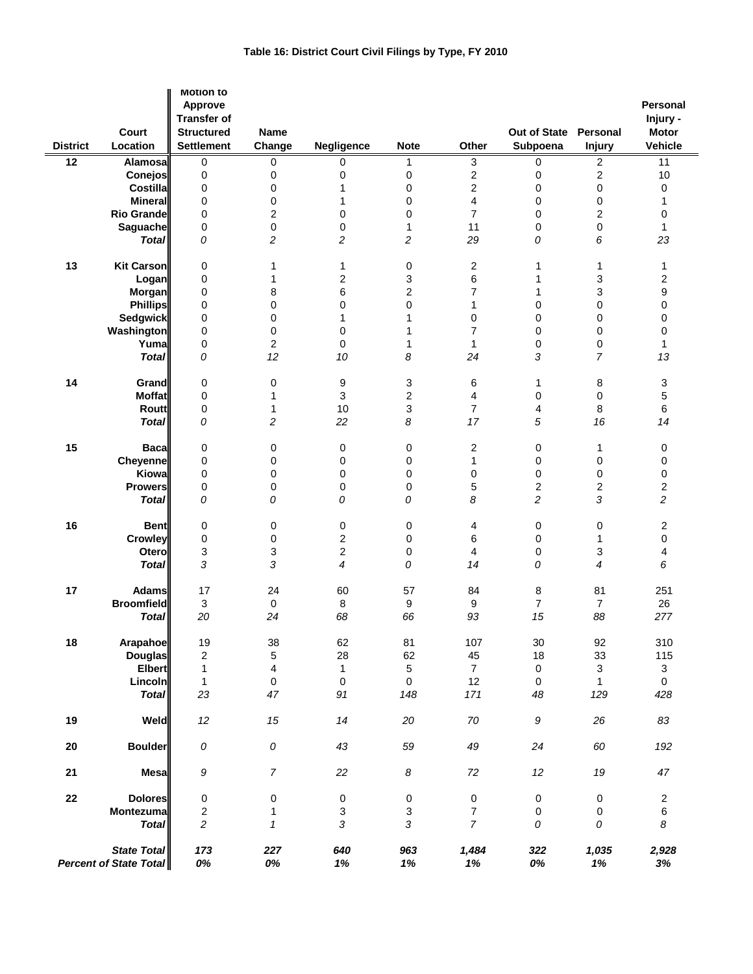| Table 16: District Court Civil Filings by Type, FY 2010 |  |  |
|---------------------------------------------------------|--|--|

|                 |                                              | <b>Motion to</b><br>Approve<br><b>Transfer of</b> |                            |                         |                         |                         |                          |                           | <b>Personal</b><br>Injury -    |
|-----------------|----------------------------------------------|---------------------------------------------------|----------------------------|-------------------------|-------------------------|-------------------------|--------------------------|---------------------------|--------------------------------|
| <b>District</b> | Court<br>Location                            | <b>Structured</b><br><b>Settlement</b>            | Name<br>Change             | Negligence              | <b>Note</b>             | Other                   | Out of State<br>Subpoena | Personal<br><b>Injury</b> | <b>Motor</b><br><b>Vehicle</b> |
| $\overline{12}$ | Alamosal                                     | 0                                                 | 0                          | 0                       | 1                       | 3                       | 0                        | 2                         | 11                             |
|                 | <b>Conejos</b>                               | 0                                                 | 0                          | 0                       | 0                       | $\overline{c}$          | 0                        | 2                         | 10                             |
|                 | Costilla                                     | 0                                                 | 0                          | 1                       | 0                       | $\overline{\mathbf{c}}$ | 0                        | 0                         | 0                              |
|                 | Mineral                                      | 0                                                 | $\mathbf 0$                | 1                       | 0                       | 4                       | 0                        | 0                         | 1                              |
|                 | <b>Rio Grande</b>                            | 0                                                 | $\overline{\mathbf{c}}$    | 0                       | 0                       | $\overline{7}$          | 0                        | 2                         | 0                              |
|                 | Saguache                                     | 0                                                 | $\mathbf 0$                | 0                       | 1                       | 11                      | 0                        | 0                         | 1                              |
|                 | <b>Total</b>                                 | 0                                                 | 2                          | $\overline{c}$          | 2                       | 29                      | 0                        | 6                         | 23                             |
| 13              | Kit Carson                                   | 0                                                 | 1                          | 1                       | 0                       | 2                       | 1                        | 1                         | 1                              |
|                 | Logan                                        | 0                                                 | 1                          | 2                       | 3                       | 6                       | 1                        | 3                         | 2                              |
|                 | <b>Morgan</b>                                | 0                                                 | 8                          | 6                       | $\overline{\mathbf{c}}$ | 7                       | 1                        | 3                         | 9                              |
|                 | <b>Phillips</b>                              | 0                                                 | 0                          | 0                       | 0                       | 1                       | 0                        | 0                         | 0                              |
|                 | <b>Sedgwick</b>                              | 0                                                 | 0                          | 1                       | 1                       | 0                       | 0                        | 0                         | 0                              |
|                 | Washington                                   | 0                                                 | 0                          | 0                       | 1                       | $\overline{7}$          | 0                        | 0                         | 0                              |
|                 | Yumal                                        | 0                                                 | $\overline{c}$             | 0                       | 1                       | 1                       | 0                        | 0                         | 1                              |
|                 | <b>Total</b>                                 | 0                                                 | 12                         | 10                      | 8                       | 24                      | 3                        | 7                         | 13                             |
| 14              | Grand                                        | 0                                                 | 0                          | 9                       | 3                       | 6                       | 1                        | 8                         | 3                              |
|                 | <b>Moffat</b>                                | 0                                                 | 1                          | 3                       | $\overline{\mathbf{c}}$ | 4                       | 0                        | 0                         | 5                              |
|                 | <b>Routt</b>                                 | 0                                                 | 1                          | 10                      | 3                       | $\overline{7}$          | 4                        | 8                         | 6                              |
|                 | <b>Total</b>                                 | 0                                                 | 2                          | 22                      | 8                       | 17                      | 5                        | 16                        | 14                             |
| 15              | <b>Bacal</b>                                 | $\pmb{0}$                                         | 0                          | 0                       | 0                       | 2                       | 0                        | 1                         | 0                              |
|                 | Cheyenne                                     | 0                                                 | 0                          | 0                       | 0                       | 1                       | 0                        | 0                         | 0                              |
|                 | Kiowa                                        | $\mathbf 0$                                       | 0                          | 0                       | 0                       | 0                       | 0                        | 0                         | 0                              |
|                 | <b>Prowers</b>                               | 0                                                 | 0                          | 0                       | 0                       | 5                       | 2                        | 2                         | 2                              |
|                 | <b>Total</b>                                 | 0                                                 | 0                          | 0                       | 0                       | 8                       | $\overline{c}$           | 3                         | $\overline{c}$                 |
| 16              | <b>Bent</b>                                  | 0                                                 | 0                          | 0                       | 0                       | 4                       | 0                        | 0                         | 2                              |
|                 | Crowley                                      | 0                                                 | 0                          | $\overline{\mathbf{c}}$ | 0                       | 6                       | 0                        | 1                         | 0                              |
|                 | Otero                                        | 3                                                 | 3                          | $\overline{c}$          | 0                       | $\overline{4}$          | 0                        | 3                         | 4                              |
|                 | <b>Total</b>                                 | 3                                                 | 3                          | 4                       | 0                       | 14                      | 0                        | 4                         | 6                              |
| 17              | <b>Adams</b>                                 | 17                                                | 24                         | 60                      | 57                      | 84                      | 8                        | 81                        | 251                            |
|                 | <b>Broomfield</b>                            | $\ensuremath{\mathsf{3}}$                         | 0                          | 8                       | 9                       | 9                       | 7                        | $\overline{7}$            | 26                             |
|                 | <b>Total</b>                                 | 20                                                | 24                         | 68                      | 66                      | 93                      | 15                       | 88                        | 277                            |
|                 |                                              |                                                   |                            |                         |                         |                         |                          |                           |                                |
| 18              | Arapahoe                                     | 19                                                | 38                         | 62                      | 81                      | 107                     | 30                       | 92                        | 310                            |
|                 | <b>Douglas</b>                               | $\sqrt{2}$                                        | 5                          | 28                      | 62                      | 45                      | 18                       | 33                        | 115                            |
|                 | <b>Elbert</b>                                | $\mathbf{1}$                                      | 4                          | 1                       | 5                       | $\overline{7}$          | 0                        | 3                         | $\mathbf{3}$                   |
|                 | Lincoln                                      | $\mathbf 1$                                       | 0                          | 0                       | 0                       | 12                      | 0                        | $\mathbf{1}$              | $\mathsf{O}\xspace$            |
|                 | <b>Total</b>                                 | 23                                                | 47                         | 91                      | 148                     | 171                     | 48                       | 129                       | 428                            |
| 19              | Weld                                         | $12\,$                                            | 15                         | 14                      | $20\,$                  | $70\,$                  | $\boldsymbol{g}$         | 26                        | 83                             |
| 20              | <b>Boulder</b>                               | ${\cal O}$                                        | 0                          | 43                      | 59                      | 49                      | 24                       | 60                        | 192                            |
| 21              | <b>Mesa</b>                                  | 9                                                 | $\boldsymbol{7}$           | 22                      | $\boldsymbol{8}$        | $72\,$                  | 12                       | $19\,$                    | 47                             |
| ${\bf 22}$      | <b>Dolores</b>                               | $\pmb{0}$                                         | 0                          | 0                       | $\pmb{0}$               | $\pmb{0}$               | 0                        | $\pmb{0}$                 | $\boldsymbol{2}$               |
|                 | <b>Montezuma</b>                             | $\sqrt{2}$                                        | 1                          | 3                       | 3                       | $\boldsymbol{7}$        | 0                        | 0                         | $\,6\,$                        |
|                 | <b>Total</b>                                 | $\overline{c}$                                    | $\boldsymbol{\mathcal{I}}$ | 3                       | 3                       | $\overline{7}$          | ${\cal O}$               | 0                         | 8                              |
|                 | State Total<br><b>Percent of State Total</b> | 173<br>0%                                         | 227<br>0%                  | 640<br>1%               | 963<br>1%               | 1,484<br>1%             | 322<br>0%                | 1,035<br>1%               | 2,928<br>3%                    |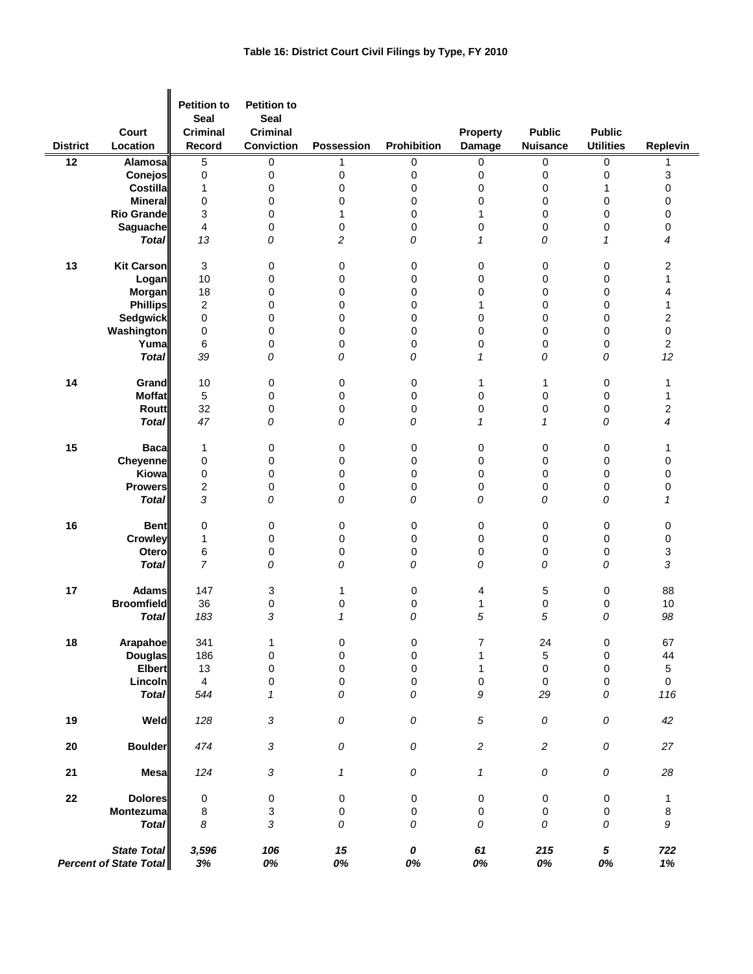| <b>District</b>                                     | Court<br>Location | <b>Petition to</b><br><b>Seal</b><br><b>Criminal</b><br>Record | <b>Petition to</b><br><b>Seal</b><br><b>Criminal</b><br>Conviction | <b>Possession</b> | Prohibition | Property<br><b>Damage</b>  | <b>Public</b><br><b>Nuisance</b> | <b>Public</b><br><b>Utilities</b> | Replevin       |
|-----------------------------------------------------|-------------------|----------------------------------------------------------------|--------------------------------------------------------------------|-------------------|-------------|----------------------------|----------------------------------|-----------------------------------|----------------|
| 12                                                  | <b>Alamosa</b>    | 5                                                              | 0                                                                  | 1                 | 0           | 0                          | 0                                | 0                                 | 1              |
|                                                     | Conejos           | 0                                                              | 0                                                                  | 0                 | 0           | 0                          | 0                                | 0                                 | 3              |
|                                                     | <b>Costilla</b>   | 1                                                              | 0                                                                  | 0                 | 0           | 0                          | 0                                | 1                                 | 0              |
|                                                     | <b>Mineral</b>    | 0                                                              | 0                                                                  | 0                 | 0           | 0                          | 0                                | 0                                 | 0              |
|                                                     | <b>Rio Grande</b> | 3                                                              | 0                                                                  | 1                 | 0           | $\mathbf{1}$               | 0                                | $\mathbf 0$                       | 0              |
|                                                     | Saguache          | 4                                                              | 0                                                                  | 0                 | 0           | 0                          | 0                                | 0                                 | 0              |
|                                                     | <b>Total</b>      | 13                                                             | 0                                                                  | 2                 | 0           | $\mathbf{1}$               | 0                                | 1                                 | 4              |
| 13                                                  | <b>Kit Carson</b> | 3                                                              | 0                                                                  | 0                 | 0           | 0                          | 0                                | $\pmb{0}$                         | 2              |
|                                                     | Logan             | 10                                                             | 0                                                                  | 0                 | 0           | 0                          | 0                                | $\mathbf 0$                       | $\mathbf{1}$   |
|                                                     | Morgan            | 18                                                             | 0                                                                  | 0                 | 0           | 0                          | 0                                | 0                                 | 4              |
|                                                     | <b>Phillips</b>   | 2                                                              | 0                                                                  | 0                 | 0           | 1                          | 0                                | 0                                 | $\mathbf{1}$   |
|                                                     | <b>Sedgwick</b>   | 0                                                              | 0                                                                  | 0                 | 0           | 0                          | 0                                | $\mathbf 0$                       | 2              |
|                                                     | Washington        | 0                                                              | 0                                                                  | 0                 | 0           | 0                          | 0                                | 0                                 | 0              |
|                                                     | Yuma              | 6                                                              | 0                                                                  | 0                 | 0           | 0                          | 0                                | $\pmb{0}$                         | $\overline{c}$ |
|                                                     | <b>Total</b>      | 39                                                             | 0                                                                  | 0                 | 0           | $\mathbf{1}$               | 0                                | 0                                 | 12             |
| 14                                                  | Grand             | 10                                                             | 0                                                                  | 0                 | 0           | 1                          | 1                                | 0                                 | 1              |
|                                                     | <b>Moffat</b>     | 5                                                              | 0                                                                  | 0                 | 0           | 0                          | 0                                | $\pmb{0}$                         | 1              |
|                                                     | Routt             | 32                                                             | 0                                                                  | 0                 | 0           | 0                          | 0                                | 0                                 | 2              |
|                                                     | <b>Total</b>      | 47                                                             | 0                                                                  | 0                 | 0           | 1                          | 1                                | 0                                 | $\overline{4}$ |
| 15                                                  | <b>Baca</b>       | 1                                                              | 0                                                                  | 0                 | 0           | 0                          | 0                                | 0                                 | 1              |
|                                                     | Cheyenne          | 0                                                              | 0                                                                  | 0                 | 0           | 0                          | 0                                | 0                                 | 0              |
|                                                     | Kiowa             | 0                                                              | 0                                                                  | 0                 | 0           | 0                          | 0                                | 0                                 | 0              |
|                                                     | <b>Prowers</b>    | 2                                                              | 0                                                                  | 0                 | 0           | 0                          | 0                                | 0                                 | 0              |
|                                                     | <b>Total</b>      | 3                                                              | 0                                                                  | 0                 | 0           | 0                          | 0                                | 0                                 | $\mathcal I$   |
| 16                                                  | <b>Bent</b>       | 0                                                              | 0                                                                  | 0                 | 0           | 0                          | 0                                | 0                                 | 0              |
|                                                     | Crowley           | 1                                                              | 0                                                                  | 0                 | 0           | 0                          | 0                                | 0                                 | 0              |
|                                                     | Otero             | 6                                                              | 0                                                                  | 0                 | 0           | 0                          | 0                                | 0                                 | 3              |
|                                                     | <b>Total</b>      | $\overline{7}$                                                 | 0                                                                  | 0                 | 0           | 0                          | 0                                | 0                                 | 3              |
| 17                                                  | <b>Adams</b>      | 147                                                            | 3                                                                  | 1                 | 0           | 4                          | 5                                | $\pmb{0}$                         | 88             |
|                                                     | <b>Broomfield</b> | 36                                                             | 0                                                                  | 0                 | 0           | 1                          | 0                                | 0                                 | 10             |
|                                                     | <b>Total</b>      | 183                                                            | 3                                                                  | $\mathcal I$      | 0           | 5                          | 5                                | 0                                 | 98             |
| ${\bf 18}$                                          | Arapahoe          | 341                                                            | 1                                                                  | 0                 | 0           | 7                          | 24                               | 0                                 | 67             |
|                                                     | <b>Douglas</b>    | 186                                                            | 0                                                                  | 0                 | $\mathsf 0$ | 1                          | 5                                | $\pmb{0}$                         | 44             |
|                                                     | <b>Elbert</b>     | 13                                                             | $\pmb{0}$                                                          | 0                 | 0           | $\mathbf{1}$               | $\pmb{0}$                        | $\mathbf 0$                       | 5              |
|                                                     | Lincoln           | $\overline{4}$                                                 | 0                                                                  | 0                 | 0           | 0                          | $\mathbf 0$                      | 0                                 | $\mathbf 0$    |
|                                                     | <b>Total</b>      | 544                                                            | $\mathbf{1}$                                                       | 0                 | 0           | 9                          | 29                               | 0                                 | 116            |
| 19                                                  | Weld              | 128                                                            | $\sqrt{3}$                                                         | 0                 | 0           | $\sqrt{5}$                 | ${\cal O}$                       | 0                                 | 42             |
| ${\bf 20}$                                          | <b>Boulder</b>    | 474                                                            | $\sqrt{3}$                                                         | 0                 | ${\cal O}$  | $\sqrt{2}$                 | $\overline{c}$                   | ${\cal O}$                        | 27             |
| 21                                                  | <b>Mesa</b>       | 124                                                            | 3                                                                  | 1                 | ${\cal O}$  | $\boldsymbol{\mathcal{I}}$ | ${\cal O}$                       | ${\cal O}$                        | 28             |
| ${\bf 22}$                                          | <b>Dolores</b>    | 0                                                              | 0                                                                  | 0                 | 0           | 0                          | 0                                | $\pmb{0}$                         | 1              |
|                                                     | Montezuma         | 8                                                              | 3                                                                  | 0                 | 0           | 0                          | $\mathbf 0$                      | $\pmb{0}$                         | 8              |
|                                                     | <b>Total</b>      | 8                                                              | 3                                                                  | 0                 | 0           | 0                          | 0                                | 0                                 | 9              |
| <b>State Total</b><br><b>Percent of State Total</b> |                   | 3,596<br>3%                                                    | 106<br>0%                                                          | 15<br>0%          | 0<br>0%     | 61<br>0%                   | 215<br>0%                        | ${\bf 5}$<br>0%                   | 722<br>$1\%$   |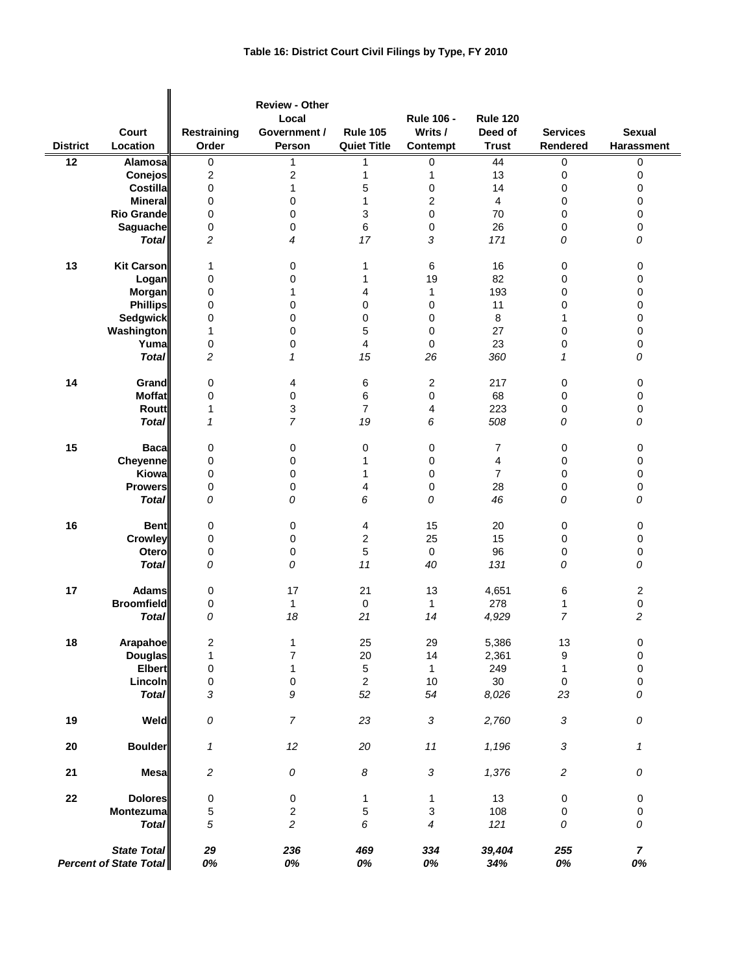| <b>District</b> | Court<br>Location                            | Restraining<br>Order | <b>Review - Other</b><br>Local<br>Government /<br>Person | <b>Rule 105</b><br><b>Quiet Title</b> | <b>Rule 106 -</b><br>Writs /<br>Contempt | <b>Rule 120</b><br>Deed of<br><b>Trust</b> | <b>Services</b><br>Rendered | <b>Sexual</b><br>Harassment |
|-----------------|----------------------------------------------|----------------------|----------------------------------------------------------|---------------------------------------|------------------------------------------|--------------------------------------------|-----------------------------|-----------------------------|
| $\overline{12}$ | Alamosa                                      | 0                    | 1                                                        | 1                                     | 0                                        | 44                                         | 0                           | 0                           |
|                 | <b>Conejos</b>                               | 2                    | $\overline{\mathbf{c}}$                                  | 1                                     | 1                                        | 13                                         | $\pmb{0}$                   | $\pmb{0}$                   |
|                 | Costilla                                     |                      | 1                                                        |                                       |                                          | 14                                         | 0                           | 0                           |
|                 |                                              | 0                    |                                                          | 5                                     | 0                                        |                                            |                             |                             |
|                 | <b>Mineral</b>                               | 0                    | $\mathbf 0$                                              | 1                                     | 2                                        | $\overline{4}$                             | 0                           | 0                           |
|                 | <b>Rio Grande</b>                            | 0                    | $\mathbf 0$                                              | 3                                     | 0                                        | 70                                         | 0                           | $\mathbf 0$                 |
|                 | <b>Saguache</b>                              | 0                    | 0                                                        | 6                                     | 0                                        | 26                                         | 0                           | $\pmb{0}$                   |
|                 | <b>Total</b>                                 | $\overline{c}$       | $\overline{4}$                                           | 17                                    | 3                                        | 171                                        | 0                           | 0                           |
| 13              | <b>Kit Carson</b>                            | 1                    | 0                                                        | 1                                     | 6                                        | 16                                         | 0                           | 0                           |
|                 | Logan                                        | 0                    | $\mathbf 0$                                              | 1                                     | 19                                       | 82                                         | $\mathbf 0$                 | $\mathbf 0$                 |
|                 | <b>Morgan</b>                                | 0                    | 1                                                        | 4                                     | $\mathbf{1}$                             | 193                                        | 0                           | $\pmb{0}$                   |
|                 | <b>Phillips</b>                              | 0                    | $\mathbf 0$                                              | 0                                     | 0                                        | 11                                         | 0                           | 0                           |
|                 | <b>Sedgwick</b>                              | 0                    | $\mathbf 0$                                              | 0                                     | 0                                        | 8                                          | 1                           | $\pmb{0}$                   |
|                 | Washington                                   | 1                    | 0                                                        | 5                                     | 0                                        | 27                                         | $\mathbf 0$                 | $\mathbf 0$                 |
|                 | Yuma                                         | 0                    | $\mathbf 0$                                              | 4                                     | $\pmb{0}$                                | 23                                         | 0                           | $\pmb{0}$                   |
|                 | <b>Total</b>                                 | $\overline{c}$       | $\mathcal I$                                             | 15                                    | 26                                       | 360                                        | $\mathcal I$                | 0                           |
| 14              | Grand                                        | 0                    | 4                                                        | 6                                     | 2                                        | 217                                        | 0                           | 0                           |
|                 | <b>Moffat</b>                                | 0                    | 0                                                        | 6                                     | 0                                        | 68                                         | 0                           | $\pmb{0}$                   |
|                 | Routt                                        |                      | $\mathsf 3$                                              | $\overline{7}$                        |                                          |                                            |                             |                             |
|                 |                                              | 1                    | $\overline{7}$                                           |                                       | 4                                        | 223                                        | 0                           | 0                           |
|                 | <b>Total</b>                                 | $\mathbf{1}$         |                                                          | 19                                    | 6                                        | 508                                        | 0                           | 0                           |
| 15              | <b>Baca</b>                                  | 0                    | 0                                                        | 0                                     | 0                                        | 7                                          | 0                           | 0                           |
|                 | <b>Cheyenne</b>                              | 0                    | 0                                                        | 1                                     | 0                                        | 4                                          | 0                           | 0                           |
|                 | Kiowa                                        | 0                    | 0                                                        | 1                                     | 0                                        | $\overline{7}$                             | 0                           | 0                           |
|                 | <b>Prowers</b>                               | 0                    | 0                                                        | 4                                     | 0                                        | 28                                         | 0                           | $\mathbf 0$                 |
|                 | <b>Total</b>                                 | 0                    | 0                                                        | 6                                     | 0                                        | 46                                         | 0                           | 0                           |
| 16              | <b>Bent</b>                                  | 0                    | 0                                                        | 4                                     | 15                                       | 20                                         | 0                           | 0                           |
|                 | Crowley                                      | 0                    | 0                                                        | 2                                     | 25                                       | 15                                         | $\mathbf 0$                 | $\mathbf 0$                 |
|                 | Otero                                        | 0                    | 0                                                        | 5                                     | $\mathbf 0$                              | 96                                         | 0                           | $\pmb{0}$                   |
|                 | <b>Total</b>                                 | 0                    | 0                                                        | 11                                    | 40                                       | 131                                        | 0                           | 0                           |
| 17              | <b>Adams</b>                                 | 0                    | 17                                                       | 21                                    | 13                                       | 4,651                                      | 6                           | 2                           |
|                 | <b>Broomfield</b>                            | 0                    | $\mathbf{1}$                                             | $\pmb{0}$                             | $\mathbf{1}$                             | 278                                        | 1                           | $\pmb{0}$                   |
|                 | <b>Total</b>                                 | 0                    | 18                                                       | 21                                    | 14                                       | 4,929                                      | $\overline{7}$              | $\overline{c}$              |
|                 |                                              |                      |                                                          |                                       |                                          |                                            |                             |                             |
| 18              | Arapahoe                                     | 2                    | 1                                                        | 25                                    | 29                                       | 5,386                                      | $13$                        | $\pmb{0}$                   |
|                 | <b>Douglas</b>                               | 1                    | $\overline{7}$                                           | 20                                    | 14                                       | 2,361                                      | $\boldsymbol{9}$            | $\mathbf 0$                 |
|                 | <b>Elbert</b>                                | 0                    | 1                                                        | $\mathbf 5$                           | $\mathbf{1}$                             | 249                                        | $\mathbf{1}$                | $\mathbf 0$                 |
|                 | Lincoln                                      | 0                    | $\pmb{0}$                                                | $\overline{c}$                        | $10$                                     | 30 <sup>°</sup>                            | $\pmb{0}$                   | $\pmb{0}$                   |
|                 | <b>Total</b>                                 | 3                    | 9                                                        | 52                                    | 54                                       | 8,026                                      | 23                          | ${\cal O}$                  |
| 19              | Weld                                         | 0                    | $\overline{7}$                                           | 23                                    | $\sqrt{3}$                               | 2,760                                      | $\sqrt{3}$                  | ${\cal O}$                  |
| 20              | <b>Boulder</b>                               | 1                    | 12                                                       | $20\,$                                | 11                                       | 1,196                                      | $\sqrt{3}$                  | 1                           |
| 21              | <b>Mesa</b>                                  | $\sqrt{2}$           | ${\cal O}$                                               | 8                                     | $\sqrt{3}$                               | 1,376                                      | $\sqrt{2}$                  | ${\cal O}$                  |
| 22              | <b>Dolores</b>                               | 0                    | $\pmb{0}$                                                | 1                                     | 1                                        | 13                                         | 0                           | $\pmb{0}$                   |
|                 | Montezuma                                    | 5                    | $\boldsymbol{2}$                                         | 5                                     | $\ensuremath{\mathsf{3}}$                | 108                                        | 0                           | $\pmb{0}$                   |
|                 | <b>Total</b>                                 | 5                    | $\overline{c}$                                           | 6                                     | 4                                        | 121                                        | 0                           | 0                           |
|                 | State Total<br><b>Percent of State Total</b> | 29<br>0%             | 236<br>0%                                                | 469<br>0%                             | 334<br>0%                                | 39,404<br>34%                              | 255<br>0%                   | $\overline{7}$<br>0%        |